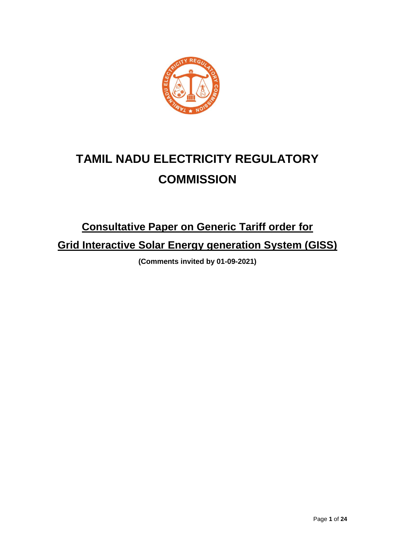

# **TAMIL NADU ELECTRICITY REGULATORY COMMISSION**

# **Consultative Paper on Generic Tariff order for Grid Interactive Solar Energy generation System (GISS)**

**(Comments invited by 01-09-2021)**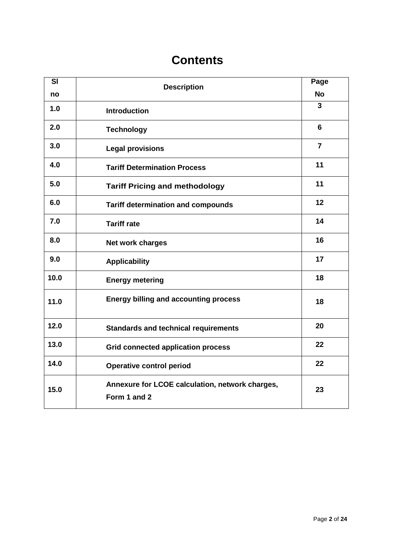# **Contents**

| $\overline{\mathbf{S}}$ | <b>Description</b>                                              | Page           |
|-------------------------|-----------------------------------------------------------------|----------------|
| no                      |                                                                 | <b>No</b>      |
| 1.0                     | <b>Introduction</b>                                             | $\overline{3}$ |
| 2.0                     | <b>Technology</b>                                               | 6              |
| 3.0                     | <b>Legal provisions</b>                                         | $\overline{7}$ |
| 4.0                     | <b>Tariff Determination Process</b>                             | 11             |
| 5.0                     | <b>Tariff Pricing and methodology</b>                           | 11             |
| 6.0                     | <b>Tariff determination and compounds</b>                       | 12             |
| 7.0                     | <b>Tariff rate</b>                                              | 14             |
| 8.0                     | Net work charges                                                | 16             |
| 9.0                     | <b>Applicability</b>                                            | 17             |
| 10.0                    | <b>Energy metering</b>                                          | 18             |
| 11.0                    | <b>Energy billing and accounting process</b>                    | 18             |
| 12.0                    | <b>Standards and technical requirements</b>                     | 20             |
| 13.0                    | <b>Grid connected application process</b>                       | 22             |
| 14.0                    | <b>Operative control period</b>                                 | 22             |
| 15.0                    | Annexure for LCOE calculation, network charges,<br>Form 1 and 2 | 23             |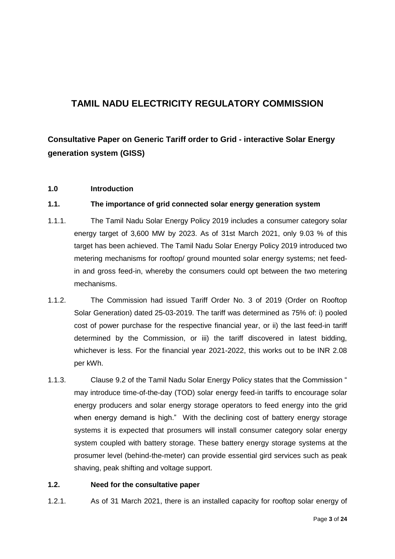## **TAMIL NADU ELECTRICITY REGULATORY COMMISSION**

## **Consultative Paper on Generic Tariff order to Grid - interactive Solar Energy generation system (GISS)**

### **1.0 Introduction**

### **1.1. The importance of grid connected solar energy generation system**

- 1.1.1. The Tamil Nadu Solar Energy Policy 2019 includes a consumer category solar energy target of 3,600 MW by 2023. As of 31st March 2021, only 9.03 % of this target has been achieved. The Tamil Nadu Solar Energy Policy 2019 introduced two metering mechanisms for rooftop/ ground mounted solar energy systems; net feedin and gross feed-in, whereby the consumers could opt between the two metering mechanisms.
- 1.1.2. The Commission had issued Tariff Order No. 3 of 2019 (Order on Rooftop Solar Generation) dated 25-03-2019. The tariff was determined as 75% of: i) pooled cost of power purchase for the respective financial year, or ii) the last feed-in tariff determined by the Commission, or iii) the tariff discovered in latest bidding, whichever is less. For the financial year 2021-2022, this works out to be INR 2.08 per kWh.
- 1.1.3. Clause 9.2 of the Tamil Nadu Solar Energy Policy states that the Commission " may introduce time-of-the-day (TOD) solar energy feed-in tariffs to encourage solar energy producers and solar energy storage operators to feed energy into the grid when energy demand is high." With the declining cost of battery energy storage systems it is expected that prosumers will install consumer category solar energy system coupled with battery storage. These battery energy storage systems at the prosumer level (behind-the-meter) can provide essential gird services such as peak shaving, peak shifting and voltage support.

### **1.2. Need for the consultative paper**

1.2.1. As of 31 March 2021, there is an installed capacity for rooftop solar energy of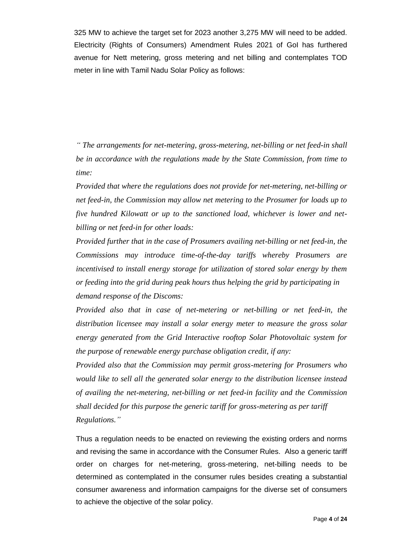325 MW to achieve the target set for 2023 another 3,275 MW will need to be added. Electricity (Rights of Consumers) Amendment Rules 2021 of GoI has furthered avenue for Nett metering, gross metering and net billing and contemplates TOD meter in line with Tamil Nadu Solar Policy as follows:

*" The arrangements for net-metering, gross-metering, net-billing or net feed-in shall be in accordance with the regulations made by the State Commission, from time to time:*

*Provided that where the regulations does not provide for net-metering, net-billing or net feed-in, the Commission may allow net metering to the Prosumer for loads up to five hundred Kilowatt or up to the sanctioned load, whichever is lower and netbilling or net feed-in for other loads:*

*Provided further that in the case of Prosumers availing net-billing or net feed-in, the Commissions may introduce time-of-the-day tariffs whereby Prosumers are incentivised to install energy storage for utilization of stored solar energy by them or feeding into the grid during peak hours thus helping the grid by participating in demand response of the Discoms:*

*Provided also that in case of net-metering or net-billing or net feed-in, the distribution licensee may install a solar energy meter to measure the gross solar energy generated from the Grid Interactive rooftop Solar Photovoltaic system for the purpose of renewable energy purchase obligation credit, if any:*

*Provided also that the Commission may permit gross-metering for Prosumers who would like to sell all the generated solar energy to the distribution licensee instead of availing the net-metering, net-billing or net feed-in facility and the Commission shall decided for this purpose the generic tariff for gross-metering as per tariff Regulations."*

Thus a regulation needs to be enacted on reviewing the existing orders and norms and revising the same in accordance with the Consumer Rules. Also a generic tariff order on charges for net-metering, gross-metering, net-billing needs to be determined as contemplated in the consumer rules besides creating a substantial consumer awareness and information campaigns for the diverse set of consumers to achieve the objective of the solar policy.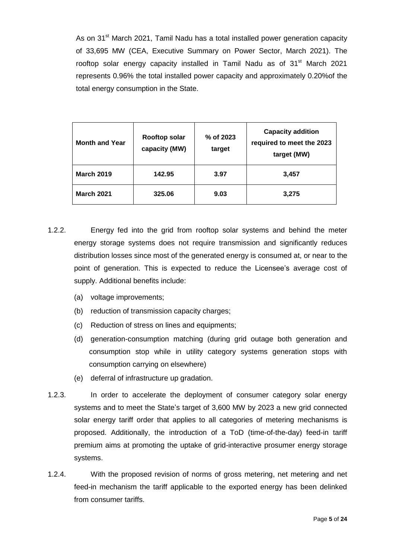As on 31<sup>st</sup> March 2021, Tamil Nadu has a total installed power generation capacity of 33,695 MW (CEA, Executive Summary on Power Sector, March 2021). The rooftop solar energy capacity installed in Tamil Nadu as of 31<sup>st</sup> March 2021 represents 0.96% the total installed power capacity and approximately 0.20%of the total energy consumption in the State.

| <b>Month and Year</b> | <b>Rooftop solar</b><br>capacity (MW) | % of 2023<br>target | <b>Capacity addition</b><br>required to meet the 2023<br>target (MW) |
|-----------------------|---------------------------------------|---------------------|----------------------------------------------------------------------|
| <b>March 2019</b>     | 142.95                                | 3.97                | 3,457                                                                |
| <b>March 2021</b>     | 325.06                                | 9.03                | 3,275                                                                |

- 1.2.2. Energy fed into the grid from rooftop solar systems and behind the meter energy storage systems does not require transmission and significantly reduces distribution losses since most of the generated energy is consumed at, or near to the point of generation. This is expected to reduce the Licensee"s average cost of supply. Additional benefits include:
	- (a) voltage improvements;
	- (b) reduction of transmission capacity charges;
	- (c) Reduction of stress on lines and equipments;
	- (d) generation-consumption matching (during grid outage both generation and consumption stop while in utility category systems generation stops with consumption carrying on elsewhere)
	- (e) deferral of infrastructure up gradation.
- 1.2.3. In order to accelerate the deployment of consumer category solar energy systems and to meet the State"s target of 3,600 MW by 2023 a new grid connected solar energy tariff order that applies to all categories of metering mechanisms is proposed. Additionally, the introduction of a ToD (time-of-the-day) feed-in tariff premium aims at promoting the uptake of grid-interactive prosumer energy storage systems.
- 1.2.4. With the proposed revision of norms of gross metering, net metering and net feed-in mechanism the tariff applicable to the exported energy has been delinked from consumer tariffs.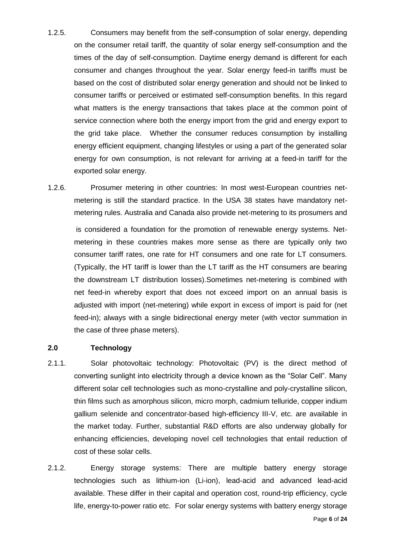- 1.2.5. Consumers may benefit from the self-consumption of solar energy, depending on the consumer retail tariff, the quantity of solar energy self-consumption and the times of the day of self-consumption. Daytime energy demand is different for each consumer and changes throughout the year. Solar energy feed-in tariffs must be based on the cost of distributed solar energy generation and should not be linked to consumer tariffs or perceived or estimated self-consumption benefits. In this regard what matters is the energy transactions that takes place at the common point of service connection where both the energy import from the grid and energy export to the grid take place. Whether the consumer reduces consumption by installing energy efficient equipment, changing lifestyles or using a part of the generated solar energy for own consumption, is not relevant for arriving at a feed-in tariff for the exported solar energy.
- 1.2.6. Prosumer metering in other countries: In most west-European countries netmetering is still the standard practice. In the USA 38 states have mandatory netmetering rules. Australia and Canada also provide net-metering to its prosumers and

is considered a foundation for the promotion of renewable energy systems. Netmetering in these countries makes more sense as there are typically only two consumer tariff rates, one rate for HT consumers and one rate for LT consumers. (Typically, the HT tariff is lower than the LT tariff as the HT consumers are bearing the downstream LT distribution losses).Sometimes net-metering is combined with net feed-in whereby export that does not exceed import on an annual basis is adjusted with import (net-metering) while export in excess of import is paid for (net feed-in); always with a single bidirectional energy meter (with vector summation in the case of three phase meters).

### **2.0 Technology**

- 2.1.1. Solar photovoltaic technology: Photovoltaic (PV) is the direct method of converting sunlight into electricity through a device known as the "Solar Cell". Many different solar cell technologies such as mono-crystalline and poly-crystalline silicon, thin films such as amorphous silicon, micro morph, cadmium telluride, copper indium gallium selenide and concentrator-based high-efficiency III-V, etc. are available in the market today. Further, substantial R&D efforts are also underway globally for enhancing efficiencies, developing novel cell technologies that entail reduction of cost of these solar cells.
- 2.1.2. Energy storage systems: There are multiple battery energy storage technologies such as lithium-ion (Li-ion), lead-acid and advanced lead-acid available. These differ in their capital and operation cost, round-trip efficiency, cycle life, energy-to-power ratio etc. For solar energy systems with battery energy storage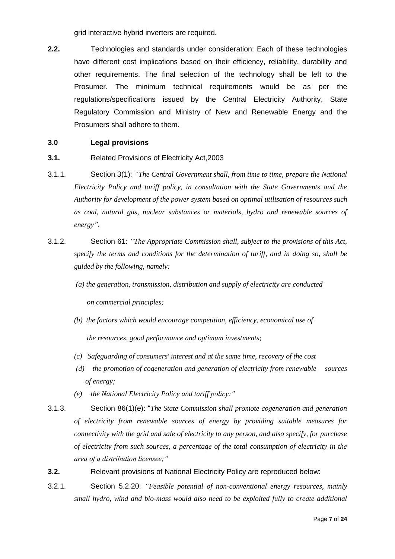grid interactive hybrid inverters are required.

**2.2.** Technologies and standards under consideration: Each of these technologies have different cost implications based on their efficiency, reliability, durability and other requirements. The final selection of the technology shall be left to the Prosumer. The minimum technical requirements would be as per the regulations/specifications issued by the Central Electricity Authority, State Regulatory Commission and Ministry of New and Renewable Energy and the Prosumers shall adhere to them.

### **3.0 Legal provisions**

- **3.1.** Related Provisions of Electricity Act, 2003
- 3.1.1. Section 3(1): *"The Central Government shall, from time to time, prepare the National Electricity Policy and tariff policy, in consultation with the State Governments and the Authority for development of the power system based on optimal utilisation of resources such as coal, natural gas, nuclear substances or materials, hydro and renewable sources of energy".*
- 3.1.2. Section 61: *"The Appropriate Commission shall, subject to the provisions of this Act, specify the terms and conditions for the determination of tariff, and in doing so, shall be guided by the following, namely:*
	- *(a) the generation, transmission, distribution and supply of electricity are conducted on commercial principles;*
	- *(b) the factors which would encourage competition, efficiency, economical use of*

 *the resources, good performance and optimum investments;*

- *(c) Safeguarding of consumers' interest and at the same time, recovery of the cost*
- *(d) the promotion of cogeneration and generation of electricity from renewable sources of energy;*
- *(e) the National Electricity Policy and tariff policy:"*
- 3.1.3. Section 86(1)(e): "*The State Commission shall promote cogeneration and generation of electricity from renewable sources of energy by providing suitable measures for connectivity with the grid and sale of electricity to any person, and also specify, for purchase of electricity from such sources, a percentage of the total consumption of electricity in the area of a distribution licensee;"*
- **3.2.** Relevant provisions of National Electricity Policy are reproduced below:
- 3.2.1. Section 5.2.20: *"Feasible potential of non-conventional energy resources, mainly small hydro, wind and bio-mass would also need to be exploited fully to create additional*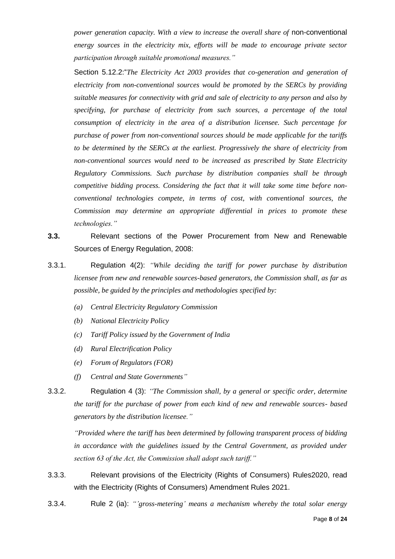*power generation capacity. With a view to increase the overall share of* non-conventional *energy sources in the electricity mix, efforts will be made to encourage private sector participation through suitable promotional measures."*

Section 5.12.2:"*The Electricity Act 2003 provides that co-generation and generation of electricity from non-conventional sources would be promoted by the SERCs by providing suitable measures for connectivity with grid and sale of electricity to any person and also by specifying, for purchase of electricity from such sources, a percentage of the total consumption of electricity in the area of a distribution licensee. Such percentage for purchase of power from non-conventional sources should be made applicable for the tariffs to be determined by the SERCs at the earliest. Progressively the share of electricity from non-conventional sources would need to be increased as prescribed by State Electricity Regulatory Commissions. Such purchase by distribution companies shall be through competitive bidding process. Considering the fact that it will take some time before nonconventional technologies compete, in terms of cost, with conventional sources, the Commission may determine an appropriate differential in prices to promote these technologies."*

- **3.3.** Relevant sections of the Power Procurement from New and Renewable Sources of Energy Regulation, 2008:
- 3.3.1. Regulation 4(2): *"While deciding the tariff for power purchase by distribution licensee from new and renewable sources-based generators, the Commission shall, as far as possible, be guided by the principles and methodologies specified by:*
	- *(a) Central Electricity Regulatory Commission*
	- *(b) National Electricity Policy*
	- *(c) Tariff Policy issued by the Government of India*
	- *(d) Rural Electrification Policy*
	- *(e) Forum of Regulators (FOR)*
	- *(f) Central and State Governments"*
- 3.3.2. Regulation 4 (3): *"The Commission shall, by a general or specific order, determine the tariff for the purchase of power from each kind of new and renewable sources- based generators by the distribution licensee."*

*"Provided where the tariff has been determined by following transparent process of bidding in accordance with the guidelines issued by the Central Government, as provided under section 63 of the Act, the Commission shall adopt such tariff."*

- 3.3.3. Relevant provisions of the Electricity (Rights of Consumers) Rules2020, read with the Electricity (Rights of Consumers) Amendment Rules 2021.
- 3.3.4. Rule 2 (ia): *"'gross-metering' means a mechanism whereby the total solar energy*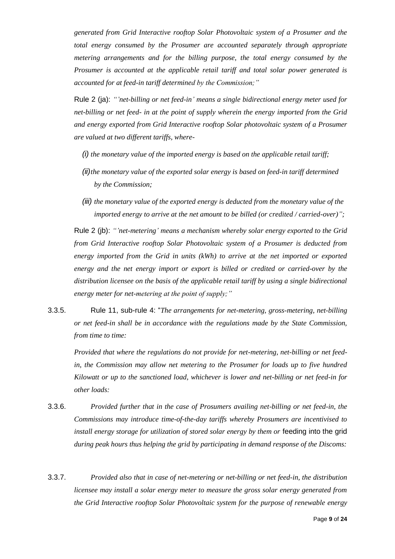*generated from Grid Interactive rooftop Solar Photovoltaic system of a Prosumer and the total energy consumed by the Prosumer are accounted separately through appropriate metering arrangements and for the billing purpose, the total energy consumed by the Prosumer is accounted at the applicable retail tariff and total solar power generated is accounted for at feed-in tariff determined by the Commission;"*

Rule 2 (ja): *"'net-billing or net feed-in' means a single bidirectional energy meter used for net-billing or net feed- in at the point of supply wherein the energy imported from the Grid and energy exported from Grid Interactive rooftop Solar photovoltaic system of a Prosumer are valued at two different tariffs, where-*

- *(i) the monetary value of the imported energy is based on the applicable retail tariff;*
- *(ii)the monetary value of the exported solar energy is based on feed-in tariff determined by the Commission;*
- *(iii) the monetary value of the exported energy is deducted from the monetary value of the imported energy to arrive at the net amount to be billed (or credited / carried-over)";*

Rule 2 (jb): *"'net-metering' means a mechanism whereby solar energy exported to the Grid from Grid Interactive rooftop Solar Photovoltaic system of a Prosumer is deducted from energy imported from the Grid in units (kWh) to arrive at the net imported or exported energy and the net energy import or export is billed or credited or carried-over by the distribution licensee on the basis of the applicable retail tariff by using a single bidirectional energy meter for net-metering at the point of supply;"*

3.3.5. Rule 11, sub-rule 4: "*The arrangements for net-metering, gross-metering, net-billing or net feed-in shall be in accordance with the regulations made by the State Commission, from time to time:*

*Provided that where the regulations do not provide for net-metering, net-billing or net feedin, the Commission may allow net metering to the Prosumer for loads up to five hundred Kilowatt or up to the sanctioned load, whichever is lower and net-billing or net feed-in for other loads:*

- 3.3.6. *Provided further that in the case of Prosumers availing net-billing or net feed-in, the Commissions may introduce time-of-the-day tariffs whereby Prosumers are incentivised to install energy storage for utilization of stored solar energy by them or* feeding into the grid *during peak hours thus helping the grid by participating in demand response of the Discoms:*
- 3.3.7. *Provided also that in case of net-metering or net-billing or net feed-in, the distribution licensee may install a solar energy meter to measure the gross solar energy generated from the Grid Interactive rooftop Solar Photovoltaic system for the purpose of renewable energy*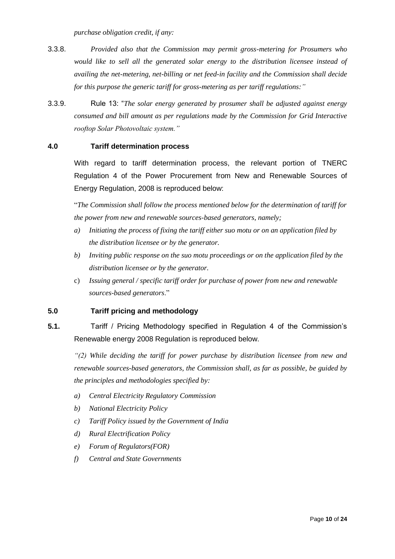*purchase obligation credit, if any:*

- 3.3.8. *Provided also that the Commission may permit gross-metering for Prosumers who would like to sell all the generated solar energy to the distribution licensee instead of availing the net-metering, net-billing or net feed-in facility and the Commission shall decide for this purpose the generic tariff for gross-metering as per tariff regulations:"*
- 3.3.9. Rule 13: "*The solar energy generated by prosumer shall be adjusted against energy consumed and bill amount as per regulations made by the Commission for Grid Interactive rooftop Solar Photovoltaic system."*

### **4.0 Tariff determination process**

With regard to tariff determination process, the relevant portion of TNERC Regulation 4 of the Power Procurement from New and Renewable Sources of Energy Regulation, 2008 is reproduced below:

"*The Commission shall follow the process mentioned below for the determination of tariff for the power from new and renewable sources-based generators, namely;*

- *a) Initiating the process of fixing the tariff either suo motu or on an application filed by the distribution licensee or by the generator.*
- *b) Inviting public response on the suo motu proceedings or on the application filed by the distribution licensee or by the generator.*
- c) *Issuing general / specific tariff order for purchase of power from new and renewable sources-based generators*."

### **5.0 Tariff pricing and methodology**

**5.1.** Tariff / Pricing Methodology specified in Regulation 4 of the Commission"s Renewable energy 2008 Regulation is reproduced below.

*"(2) While deciding the tariff for power purchase by distribution licensee from new and renewable sources-based generators, the Commission shall, as far as possible, be guided by the principles and methodologies specified by:*

- *a) Central Electricity Regulatory Commission*
- *b) National Electricity Policy*
- *c) Tariff Policy issued by the Government of India*
- *d) Rural Electrification Policy*
- *e) Forum of Regulators(FOR)*
- *f) Central and State Governments*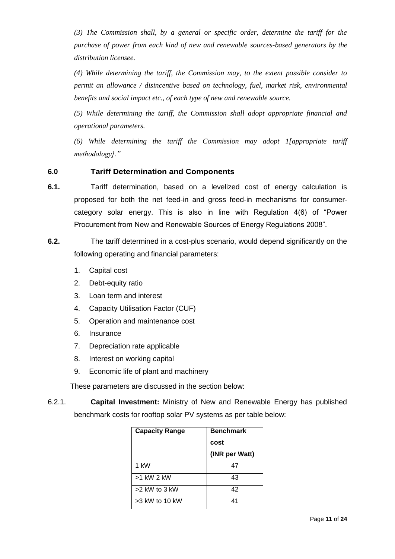*(3) The Commission shall, by a general or specific order, determine the tariff for the purchase of power from each kind of new and renewable sources-based generators by the distribution licensee.*

*(4) While determining the tariff, the Commission may, to the extent possible consider to permit an allowance / disincentive based on technology, fuel, market risk, environmental benefits and social impact etc., of each type of new and renewable source.*

*(5) While determining the tariff, the Commission shall adopt appropriate financial and operational parameters.*

*(6) While determining the tariff the Commission may adopt 1[appropriate tariff methodology]."*

### **6.0 Tariff Determination and Components**

- **6.1.** Tariff determination, based on a levelized cost of energy calculation is proposed for both the net feed-in and gross feed-in mechanisms for consumercategory solar energy. This is also in line with Regulation 4(6) of "Power Procurement from New and Renewable Sources of Energy Regulations 2008".
- **6.2.** The tariff determined in a cost-plus scenario, would depend significantly on the following operating and financial parameters:
	- 1. Capital cost
	- 2. Debt-equity ratio
	- 3. Loan term and interest
	- 4. Capacity Utilisation Factor (CUF)
	- 5. Operation and maintenance cost
	- 6. Insurance
	- 7. Depreciation rate applicable
	- 8. Interest on working capital
	- 9. Economic life of plant and machinery

These parameters are discussed in the section below:

6.2.1. **Capital Investment:** Ministry of New and Renewable Energy has published benchmark costs for rooftop solar PV systems as per table below:

| <b>Capacity Range</b> | <b>Benchmark</b> |
|-----------------------|------------------|
|                       | cost             |
|                       | (INR per Watt)   |
| 1 kW                  | 47               |
| >1 kW 2 kW            | 43               |
| $>2$ kW to 3 kW       | 42               |
| $>3$ kW to 10 kW      | 41               |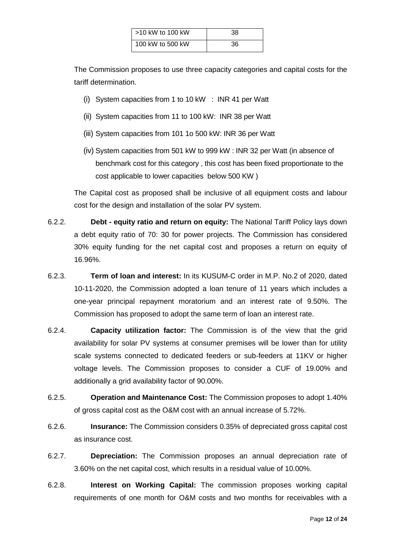| $\sim$ 10 kW to 100 kW | 38 |
|------------------------|----|
| 100 kW to 500 kW       | 36 |

The Commission proposes to use three capacity categories and capital costs for the tariff determination.

- (i) System capacities from 1 to 10 kW : INR 41 per Watt
- (ii) System capacities from 11 to 100 kW: INR 38 per Watt
- (iii) System capacities from 101 1o 500 kW: INR 36 per Watt
- (iv) System capacities from 501 kW to 999 kW : INR 32 per Watt (in absence of benchmark cost for this category , this cost has been fixed proportionate to the cost applicable to lower capacities below 500 KW )

The Capital cost as proposed shall be inclusive of all equipment costs and labour cost for the design and installation of the solar PV system.

- 6.2.2. **Debt - equity ratio and return on equity:** The National Tariff Policy lays down a debt equity ratio of 70: 30 for power projects. The Commission has considered 30% equity funding for the net capital cost and proposes a return on equity of 16.96%.
- 6.2.3. **Term of loan and interest:** In its KUSUM-C order in M.P. No.2 of 2020, dated 10-11-2020, the Commission adopted a loan tenure of 11 years which includes a one-year principal repayment moratorium and an interest rate of 9.50%. The Commission has proposed to adopt the same term of loan an interest rate.
- 6.2.4. **Capacity utilization factor:** The Commission is of the view that the grid availability for solar PV systems at consumer premises will be lower than for utility scale systems connected to dedicated feeders or sub-feeders at 11KV or higher voltage levels. The Commission proposes to consider a CUF of 19.00% and additionally a grid availability factor of 90.00%.
- 6.2.5. **Operation and Maintenance Cost:** The Commission proposes to adopt 1.40% of gross capital cost as the O&M cost with an annual increase of 5.72%.
- 6.2.6. **Insurance:** The Commission considers 0.35% of depreciated gross capital cost as insurance cost.
- 6.2.7. **Depreciation:** The Commission proposes an annual depreciation rate of 3.60% on the net capital cost, which results in a residual value of 10.00%.
- 6.2.8. **Interest on Working Capital:** The commission proposes working capital requirements of one month for O&M costs and two months for receivables with a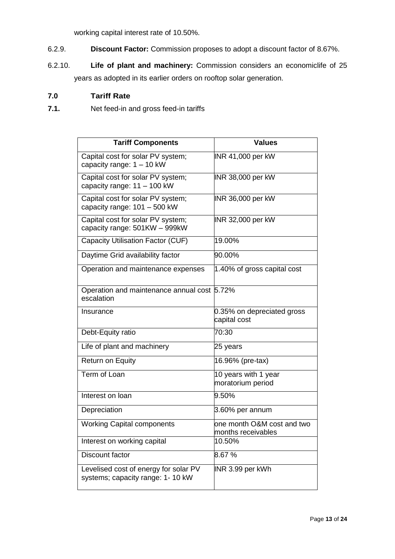working capital interest rate of 10.50%.

- 6.2.9. **Discount Factor:** Commission proposes to adopt a discount factor of 8.67%.
- 6.2.10. **Life of plant and machinery:** Commission considers an economiclife of 25 years as adopted in its earlier orders on rooftop solar generation.

### **7.0 Tariff Rate**

**7.1.** Net feed-in and gross feed-in tariffs

| <b>Tariff Components</b>                                                   | <b>Values</b>                                     |
|----------------------------------------------------------------------------|---------------------------------------------------|
| Capital cost for solar PV system;<br>capacity range: $1 - 10$ kW           | INR 41,000 per kW                                 |
| Capital cost for solar PV system;<br>capacity range: 11 - 100 kW           | INR 38,000 per kW                                 |
| Capital cost for solar PV system;<br>capacity range: 101 - 500 kW          | INR 36,000 per kW                                 |
| Capital cost for solar PV system;<br>capacity range: 501KW - 999kW         | INR 32,000 per kW                                 |
| Capacity Utilisation Factor (CUF)                                          | 19.00%                                            |
| Daytime Grid availability factor                                           | 90.00%                                            |
| Operation and maintenance expenses                                         | 1.40% of gross capital cost                       |
| Operation and maintenance annual cost 5.72%<br>escalation                  |                                                   |
| Insurance                                                                  | 0.35% on depreciated gross<br>capital cost        |
| Debt-Equity ratio                                                          | 70:30                                             |
| Life of plant and machinery                                                | 25 years                                          |
| <b>Return on Equity</b>                                                    | 16.96% (pre-tax)                                  |
| Term of Loan                                                               | 10 years with 1 year<br>moratorium period         |
| Interest on loan                                                           | 9.50%                                             |
| Depreciation                                                               | 3.60% per annum                                   |
| <b>Working Capital components</b>                                          | one month O&M cost and two<br>lmonths receivables |
| Interest on working capital                                                | 10.50%                                            |
| Discount factor                                                            | 8.67%                                             |
| Levelised cost of energy for solar PV<br>systems; capacity range: 1- 10 kW | INR 3.99 per kWh                                  |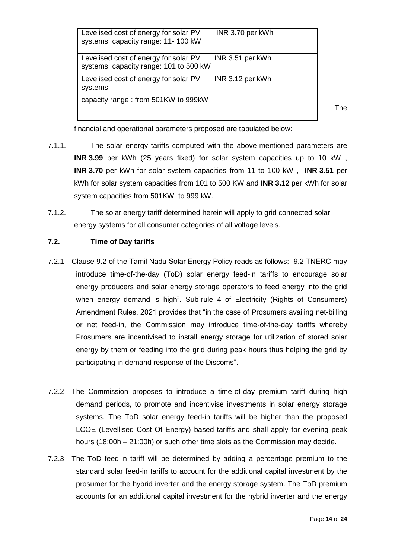| Levelised cost of energy for solar PV<br>systems; capacity range: 11- 100 kW    | INR 3.70 per kWh |
|---------------------------------------------------------------------------------|------------------|
| Levelised cost of energy for solar PV<br>systems; capacity range: 101 to 500 kW | INR 3.51 per kWh |
| Levelised cost of energy for solar PV<br>systems;                               | INR 3.12 per kWh |
| capacity range: from 501KW to 999kW                                             |                  |

The

financial and operational parameters proposed are tabulated below:

- 7.1.1. The solar energy tariffs computed with the above-mentioned parameters are **INR 3.99** per kWh (25 years fixed) for solar system capacities up to 10 kW , **INR 3.70** per kWh for solar system capacities from 11 to 100 kW , **INR 3.51** per kWh for solar system capacities from 101 to 500 KW and **INR 3.12** per kWh for solar system capacities from 501KW to 999 kW.
- 7.1.2. The solar energy tariff determined herein will apply to grid connected solar energy systems for all consumer categories of all voltage levels.

### **7.2. Time of Day tariffs**

- 7.2.1 Clause 9.2 of the Tamil Nadu Solar Energy Policy reads as follows: "9.2 TNERC may introduce time-of-the-day (ToD) solar energy feed-in tariffs to encourage solar energy producers and solar energy storage operators to feed energy into the grid when energy demand is high". Sub-rule 4 of Electricity (Rights of Consumers) Amendment Rules, 2021 provides that "in the case of Prosumers availing net-billing or net feed-in, the Commission may introduce time-of-the-day tariffs whereby Prosumers are incentivised to install energy storage for utilization of stored solar energy by them or feeding into the grid during peak hours thus helping the grid by participating in demand response of the Discoms".
- 7.2.2 The Commission proposes to introduce a time-of-day premium tariff during high demand periods, to promote and incentivise investments in solar energy storage systems. The ToD solar energy feed-in tariffs will be higher than the proposed LCOE (Levellised Cost Of Energy) based tariffs and shall apply for evening peak hours (18:00h – 21:00h) or such other time slots as the Commission may decide.
- 7.2.3 The ToD feed-in tariff will be determined by adding a percentage premium to the standard solar feed-in tariffs to account for the additional capital investment by the prosumer for the hybrid inverter and the energy storage system. The ToD premium accounts for an additional capital investment for the hybrid inverter and the energy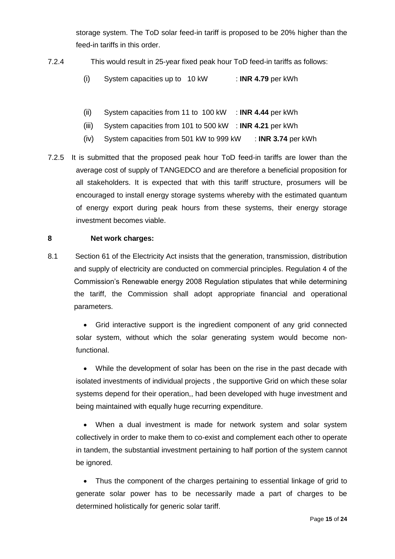storage system. The ToD solar feed-in tariff is proposed to be 20% higher than the feed-in tariffs in this order.

- 7.2.4 This would result in 25-year fixed peak hour ToD feed-in tariffs as follows:
	- (i) System capacities up to 10 kW : **INR 4.79** per kWh
	- (ii) System capacities from 11 to 100 kW : **INR 4.44** per kWh
	- (iii) System capacities from 101 to 500 kW : **INR 4.21** per kWh
	- (iv) System capacities from 501 kW to 999 kW : **INR 3.74** per kWh
- 7.2.5 It is submitted that the proposed peak hour ToD feed-in tariffs are lower than the average cost of supply of TANGEDCO and are therefore a beneficial proposition for all stakeholders. It is expected that with this tariff structure, prosumers will be encouraged to install energy storage systems whereby with the estimated quantum of energy export during peak hours from these systems, their energy storage investment becomes viable.

### **8 Net work charges:**

8.1 Section 61 of the Electricity Act insists that the generation, transmission, distribution and supply of electricity are conducted on commercial principles. Regulation 4 of the Commission"s Renewable energy 2008 Regulation stipulates that while determining the tariff, the Commission shall adopt appropriate financial and operational parameters.

 Grid interactive support is the ingredient component of any grid connected solar system, without which the solar generating system would become nonfunctional.

 While the development of solar has been on the rise in the past decade with isolated investments of individual projects , the supportive Grid on which these solar systems depend for their operation,, had been developed with huge investment and being maintained with equally huge recurring expenditure.

 When a dual investment is made for network system and solar system collectively in order to make them to co-exist and complement each other to operate in tandem, the substantial investment pertaining to half portion of the system cannot be ignored.

 Thus the component of the charges pertaining to essential linkage of grid to generate solar power has to be necessarily made a part of charges to be determined holistically for generic solar tariff.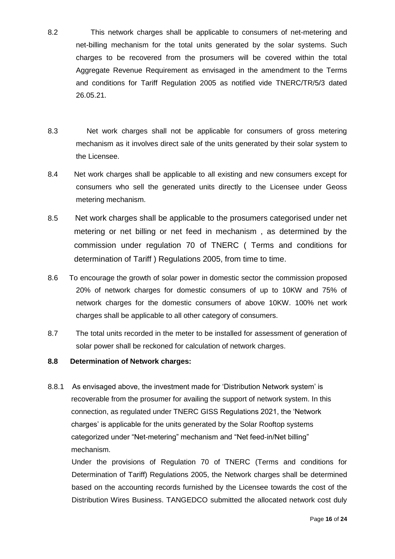- 8.2 This network charges shall be applicable to consumers of net-metering and net-billing mechanism for the total units generated by the solar systems. Such charges to be recovered from the prosumers will be covered within the total Aggregate Revenue Requirement as envisaged in the amendment to the Terms and conditions for Tariff Regulation 2005 as notified vide TNERC/TR/5/3 dated 26.05.21.
- 8.3 Net work charges shall not be applicable for consumers of gross metering mechanism as it involves direct sale of the units generated by their solar system to the Licensee.
- 8.4 Net work charges shall be applicable to all existing and new consumers except for consumers who sell the generated units directly to the Licensee under Geoss metering mechanism.
- 8.5 Net work charges shall be applicable to the prosumers categorised under net metering or net billing or net feed in mechanism , as determined by the commission under regulation 70 of TNERC ( Terms and conditions for determination of Tariff ) Regulations 2005, from time to time.
- 8.6 To encourage the growth of solar power in domestic sector the commission proposed 20% of network charges for domestic consumers of up to 10KW and 75% of network charges for the domestic consumers of above 10KW. 100% net work charges shall be applicable to all other category of consumers.
- 8.7 The total units recorded in the meter to be installed for assessment of generation of solar power shall be reckoned for calculation of network charges.
- **8.8 Determination of Network charges:**
- 8.8.1 As envisaged above, the investment made for 'Distribution Network system' is recoverable from the prosumer for availing the support of network system. In this connection, as regulated under TNERC GISS Regulations 2021, the "Network charges' is applicable for the units generated by the Solar Rooftop systems categorized under "Net-metering" mechanism and "Net feed-in/Net billing" mechanism.

Under the provisions of Regulation 70 of TNERC (Terms and conditions for Determination of Tariff) Regulations 2005, the Network charges shall be determined based on the accounting records furnished by the Licensee towards the cost of the Distribution Wires Business. TANGEDCO submitted the allocated network cost duly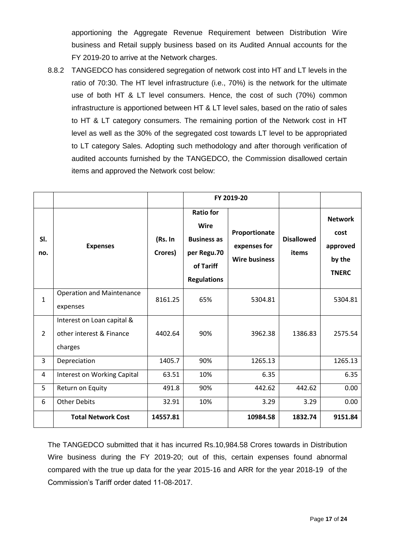apportioning the Aggregate Revenue Requirement between Distribution Wire business and Retail supply business based on its Audited Annual accounts for the FY 2019-20 to arrive at the Network charges.

8.8.2 TANGEDCO has considered segregation of network cost into HT and LT levels in the ratio of 70:30. The HT level infrastructure (i.e., 70%) is the network for the ultimate use of both HT & LT level consumers. Hence, the cost of such (70%) common infrastructure is apportioned between HT & LT level sales, based on the ratio of sales to HT & LT category consumers. The remaining portion of the Network cost in HT level as well as the 30% of the segregated cost towards LT level to be appropriated to LT category Sales. Adopting such methodology and after thorough verification of audited accounts furnished by the TANGEDCO, the Commission disallowed certain items and approved the Network cost below:

|                |                                                                   |                    | FY 2019-20                                                                                              |                                                       |                            |                                                              |
|----------------|-------------------------------------------------------------------|--------------------|---------------------------------------------------------------------------------------------------------|-------------------------------------------------------|----------------------------|--------------------------------------------------------------|
| SI.<br>no.     | <b>Expenses</b>                                                   | (Rs. In<br>Crores) | <b>Ratio for</b><br><b>Wire</b><br><b>Business as</b><br>per Regu.70<br>of Tariff<br><b>Regulations</b> | Proportionate<br>expenses for<br><b>Wire business</b> | <b>Disallowed</b><br>items | <b>Network</b><br>cost<br>approved<br>by the<br><b>TNERC</b> |
| $\mathbf{1}$   | <b>Operation and Maintenance</b><br>expenses                      | 8161.25            | 65%                                                                                                     | 5304.81                                               |                            | 5304.81                                                      |
| $\overline{2}$ | Interest on Loan capital &<br>other interest & Finance<br>charges | 4402.64            | 90%                                                                                                     | 3962.38                                               | 1386.83                    | 2575.54                                                      |
| 3              | Depreciation                                                      | 1405.7             | 90%                                                                                                     | 1265.13                                               |                            | 1265.13                                                      |
| 4              | Interest on Working Capital                                       | 63.51              | 10%                                                                                                     | 6.35                                                  |                            | 6.35                                                         |
| 5              | Return on Equity                                                  | 491.8              | 90%                                                                                                     | 442.62                                                | 442.62                     | 0.00                                                         |
| 6              | <b>Other Debits</b>                                               | 32.91              | 10%                                                                                                     | 3.29                                                  | 3.29                       | 0.00                                                         |
|                | <b>Total Network Cost</b>                                         | 14557.81           |                                                                                                         | 10984.58                                              | 1832.74                    | 9151.84                                                      |

The TANGEDCO submitted that it has incurred Rs.10,984.58 Crores towards in Distribution Wire business during the FY 2019-20; out of this, certain expenses found abnormal compared with the true up data for the year 2015-16 and ARR for the year 2018-19 of the Commission"s Tariff order dated 11-08-2017.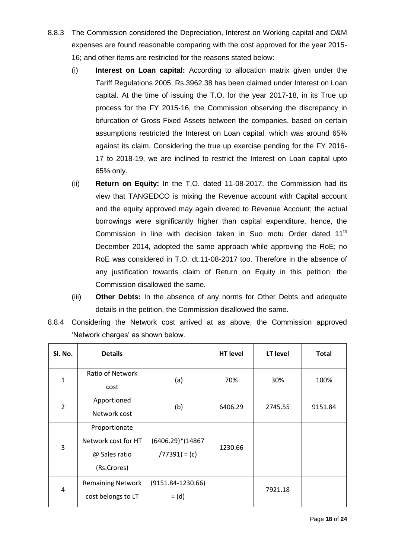- 8.8.3 The Commission considered the Depreciation, Interest on Working capital and O&M expenses are found reasonable comparing with the cost approved for the year 2015- 16; and other items are restricted for the reasons stated below:
	- (i) **Interest on Loan capital:** According to allocation matrix given under the Tariff Regulations 2005, Rs.3962.38 has been claimed under Interest on Loan capital. At the time of issuing the T.O. for the year 2017-18, in its True up process for the FY 2015-16, the Commission observing the discrepancy in bifurcation of Gross Fixed Assets between the companies, based on certain assumptions restricted the Interest on Loan capital, which was around 65% against its claim. Considering the true up exercise pending for the FY 2016- 17 to 2018-19, we are inclined to restrict the Interest on Loan capital upto 65% only.
	- (ii) **Return on Equity:** In the T.O. dated 11-08-2017, the Commission had its view that TANGEDCO is mixing the Revenue account with Capital account and the equity approved may again divered to Revenue Account; the actual borrowings were significantly higher than capital expenditure, hence, the Commission in line with decision taken in Suo motu Order dated 11<sup>th</sup> December 2014, adopted the same approach while approving the RoE; no RoE was considered in T.O. dt.11-08-2017 too. Therefore in the absence of any justification towards claim of Return on Equity in this petition, the Commission disallowed the same.
	- (iii) **Other Debts:** In the absence of any norms for Other Debts and adequate details in the petition, the Commission disallowed the same.
- 8.8.4 Considering the Network cost arrived at as above, the Commission approved 'Network charges' as shown below.

| Sl. No.        | <b>Details</b>                                                       |                                        | <b>HT level</b> | LT level | <b>Total</b> |
|----------------|----------------------------------------------------------------------|----------------------------------------|-----------------|----------|--------------|
| $\mathbf{1}$   | Ratio of Network<br>cost                                             | (a)                                    | 70%             | 30%      | 100%         |
| $\overline{2}$ | Apportioned<br>Network cost                                          | (b)                                    | 6406.29         | 2745.55  | 9151.84      |
| 3              | Proportionate<br>Network cost for HT<br>@ Sales ratio<br>(Rs.Crores) | $(6406.29)*(14867)$<br>$(77391) = (c)$ | 1230.66         |          |              |
| 4              | <b>Remaining Network</b><br>cost belongs to LT                       | $(9151.84-1230.66)$<br>$=$ (d)         |                 | 7921.18  |              |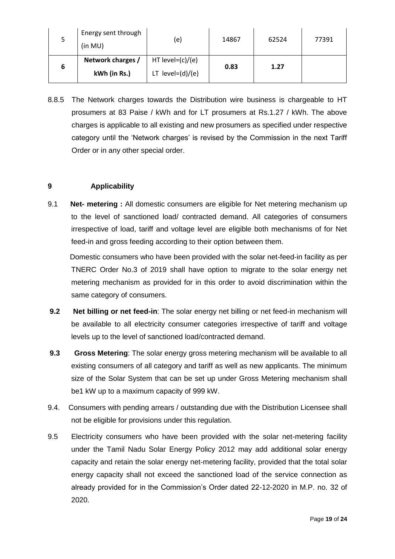| 5 | Energy sent through<br>(in MU) | (e)                 | 14867 | 62524 | 77391 |
|---|--------------------------------|---------------------|-------|-------|-------|
|   | Network charges /              | HT level= $(c)/(e)$ | 0.83  | 1.27  |       |
| 6 | kWh (in Rs.)                   | LT $level=(d)/(e)$  |       |       |       |

8.8.5 The Network charges towards the Distribution wire business is chargeable to HT prosumers at 83 Paise / kWh and for LT prosumers at Rs.1.27 / kWh. The above charges is applicable to all existing and new prosumers as specified under respective category until the "Network charges" is revised by the Commission in the next Tariff Order or in any other special order.

### **9 Applicability**

9.1 **Net- metering :** All domestic consumers are eligible for Net metering mechanism up to the level of sanctioned load/ contracted demand. All categories of consumers irrespective of load, tariff and voltage level are eligible both mechanisms of for Net feed-in and gross feeding according to their option between them.

 Domestic consumers who have been provided with the solar net-feed-in facility as per TNERC Order No.3 of 2019 shall have option to migrate to the solar energy net metering mechanism as provided for in this order to avoid discrimination within the same category of consumers.

- **9.2 Net billing or net feed-in**: The solar energy net billing or net feed-in mechanism will be available to all electricity consumer categories irrespective of tariff and voltage levels up to the level of sanctioned load/contracted demand.
- **9.3 Gross Metering**: The solar energy gross metering mechanism will be available to all existing consumers of all category and tariff as well as new applicants. The minimum size of the Solar System that can be set up under Gross Metering mechanism shall be1 kW up to a maximum capacity of 999 kW.
- 9.4. Consumers with pending arrears / outstanding due with the Distribution Licensee shall not be eligible for provisions under this regulation.
- 9.5 Electricity consumers who have been provided with the solar net-metering facility under the Tamil Nadu Solar Energy Policy 2012 may add additional solar energy capacity and retain the solar energy net-metering facility, provided that the total solar energy capacity shall not exceed the sanctioned load of the service connection as already provided for in the Commission's Order dated 22-12-2020 in M.P. no. 32 of 2020.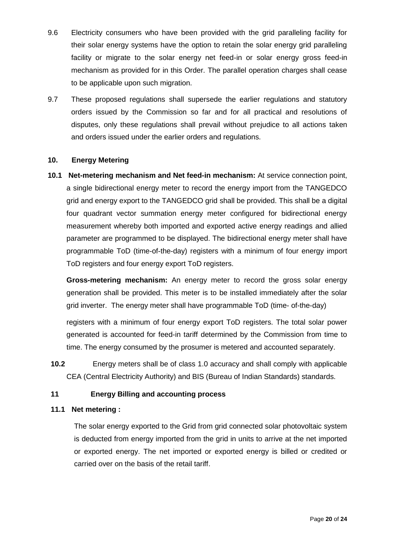- 9.6 Electricity consumers who have been provided with the grid paralleling facility for their solar energy systems have the option to retain the solar energy grid paralleling facility or migrate to the solar energy net feed-in or solar energy gross feed-in mechanism as provided for in this Order. The parallel operation charges shall cease to be applicable upon such migration.
- 9.7 These proposed regulations shall supersede the earlier regulations and statutory orders issued by the Commission so far and for all practical and resolutions of disputes, only these regulations shall prevail without prejudice to all actions taken and orders issued under the earlier orders and regulations.

### **10. Energy Metering**

**10.1 Net-metering mechanism and Net feed-in mechanism:** At service connection point, a single bidirectional energy meter to record the energy import from the TANGEDCO grid and energy export to the TANGEDCO grid shall be provided. This shall be a digital four quadrant vector summation energy meter configured for bidirectional energy measurement whereby both imported and exported active energy readings and allied parameter are programmed to be displayed. The bidirectional energy meter shall have programmable ToD (time-of-the-day) registers with a minimum of four energy import ToD registers and four energy export ToD registers.

**Gross-metering mechanism:** An energy meter to record the gross solar energy generation shall be provided. This meter is to be installed immediately after the solar grid inverter. The energy meter shall have programmable ToD (time- of-the-day)

registers with a minimum of four energy export ToD registers. The total solar power generated is accounted for feed-in tariff determined by the Commission from time to time. The energy consumed by the prosumer is metered and accounted separately.

**10.2** Energy meters shall be of class 1.0 accuracy and shall comply with applicable CEA (Central Electricity Authority) and BIS (Bureau of Indian Standards) standards.

### **11 Energy Billing and accounting process**

### **11.1 Net metering :**

The solar energy exported to the Grid from grid connected solar photovoltaic system is deducted from energy imported from the grid in units to arrive at the net imported or exported energy. The net imported or exported energy is billed or credited or carried over on the basis of the retail tariff.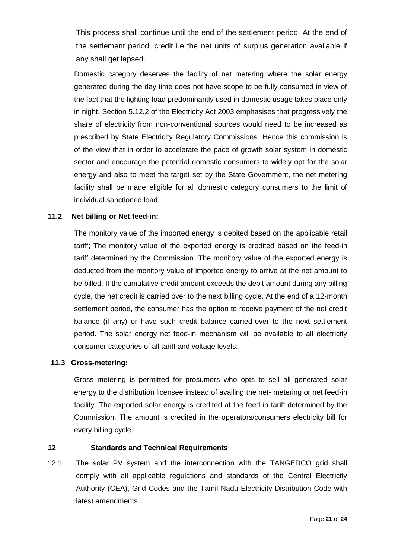This process shall continue until the end of the settlement period. At the end of the settlement period, credit i.e the net units of surplus generation available if any shall get lapsed.

Domestic category deserves the facility of net metering where the solar energy generated during the day time does not have scope to be fully consumed in view of the fact that the lighting load predominantly used in domestic usage takes place only in night. Section 5.12.2 of the Electricity Act 2003 emphasises that progressively the share of electricity from non-conventional sources would need to be increased as prescribed by State Electricity Regulatory Commissions. Hence this commission is of the view that in order to accelerate the pace of growth solar system in domestic sector and encourage the potential domestic consumers to widely opt for the solar energy and also to meet the target set by the State Government, the net metering facility shall be made eligible for all domestic category consumers to the limit of individual sanctioned load.

### **11.2 Net billing or Net feed-in:**

The monitory value of the imported energy is debited based on the applicable retail tariff; The monitory value of the exported energy is credited based on the feed-in tariff determined by the Commission. The monitory value of the exported energy is deducted from the monitory value of imported energy to arrive at the net amount to be billed. If the cumulative credit amount exceeds the debit amount during any billing cycle, the net credit is carried over to the next billing cycle. At the end of a 12-month settlement period, the consumer has the option to receive payment of the net credit balance (if any) or have such credit balance carried-over to the next settlement period. The solar energy net feed-in mechanism will be available to all electricity consumer categories of all tariff and voltage levels.

### **11.3 Gross-metering:**

Gross metering is permitted for prosumers who opts to sell all generated solar energy to the distribution licensee instead of availing the net- metering or net feed-in facility. The exported solar energy is credited at the feed in tariff determined by the Commission. The amount is credited in the operators/consumers electricity bill for every billing cycle.

### **12 Standards and Technical Requirements**

12.1 The solar PV system and the interconnection with the TANGEDCO grid shall comply with all applicable regulations and standards of the Central Electricity Authority (CEA), Grid Codes and the Tamil Nadu Electricity Distribution Code with latest amendments.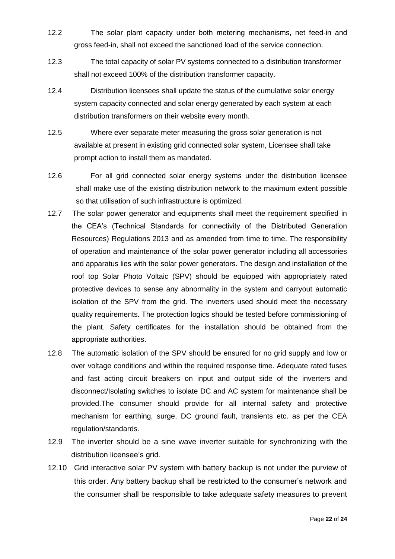- 12.2 The solar plant capacity under both metering mechanisms, net feed-in and gross feed-in, shall not exceed the sanctioned load of the service connection.
- 12.3 The total capacity of solar PV systems connected to a distribution transformer shall not exceed 100% of the distribution transformer capacity.
- 12.4 Distribution licensees shall update the status of the cumulative solar energy system capacity connected and solar energy generated by each system at each distribution transformers on their website every month.
- 12.5 Where ever separate meter measuring the gross solar generation is not available at present in existing grid connected solar system, Licensee shall take prompt action to install them as mandated.
- 12.6 For all grid connected solar energy systems under the distribution licensee shall make use of the existing distribution network to the maximum extent possible so that utilisation of such infrastructure is optimized.
- 12.7 The solar power generator and equipments shall meet the requirement specified in the CEA"s (Technical Standards for connectivity of the Distributed Generation Resources) Regulations 2013 and as amended from time to time. The responsibility of operation and maintenance of the solar power generator including all accessories and apparatus lies with the solar power generators. The design and installation of the roof top Solar Photo Voltaic (SPV) should be equipped with appropriately rated protective devices to sense any abnormality in the system and carryout automatic isolation of the SPV from the grid. The inverters used should meet the necessary quality requirements. The protection logics should be tested before commissioning of the plant. Safety certificates for the installation should be obtained from the appropriate authorities.
- 12.8 The automatic isolation of the SPV should be ensured for no grid supply and low or over voltage conditions and within the required response time. Adequate rated fuses and fast acting circuit breakers on input and output side of the inverters and disconnect/Isolating switches to isolate DC and AC system for maintenance shall be provided.The consumer should provide for all internal safety and protective mechanism for earthing, surge, DC ground fault, transients etc. as per the CEA regulation/standards.
- 12.9 The inverter should be a sine wave inverter suitable for synchronizing with the distribution licensee's grid.
- 12.10 Grid interactive solar PV system with battery backup is not under the purview of this order. Any battery backup shall be restricted to the consumer"s network and the consumer shall be responsible to take adequate safety measures to prevent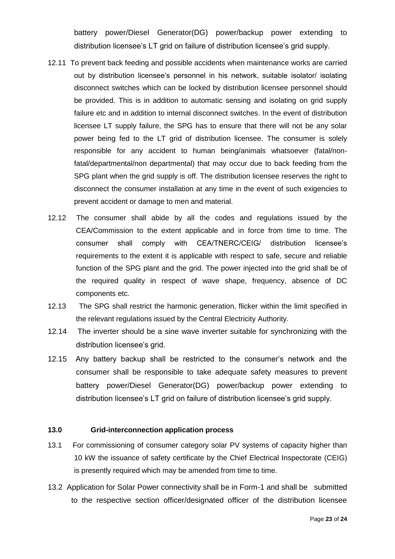battery power/Diesel Generator(DG) power/backup power extending to distribution licensee's LT grid on failure of distribution licensee's grid supply.

- 12.11 To prevent back feeding and possible accidents when maintenance works are carried out by distribution licensee's personnel in his network, suitable isolator/ isolating disconnect switches which can be locked by distribution licensee personnel should be provided. This is in addition to automatic sensing and isolating on grid supply failure etc and in addition to internal disconnect switches. In the event of distribution licensee LT supply failure, the SPG has to ensure that there will not be any solar power being fed to the LT grid of distribution licensee. The consumer is solely responsible for any accident to human being/animals whatsoever (fatal/nonfatal/departmental/non departmental) that may occur due to back feeding from the SPG plant when the grid supply is off. The distribution licensee reserves the right to disconnect the consumer installation at any time in the event of such exigencies to prevent accident or damage to men and material.
- 12.12 The consumer shall abide by all the codes and regulations issued by the CEA/Commission to the extent applicable and in force from time to time. The consumer shall comply with CEA/TNERC/CEIG/ distribution licensee"s requirements to the extent it is applicable with respect to safe, secure and reliable function of the SPG plant and the grid. The power injected into the grid shall be of the required quality in respect of wave shape, frequency, absence of DC components etc.
- 12.13 The SPG shall restrict the harmonic generation, flicker within the limit specified in the relevant regulations issued by the Central Electricity Authority.
- 12.14 The inverter should be a sine wave inverter suitable for synchronizing with the distribution licensee's grid.
- 12.15 Any battery backup shall be restricted to the consumer"s network and the consumer shall be responsible to take adequate safety measures to prevent battery power/Diesel Generator(DG) power/backup power extending to distribution licensee"s LT grid on failure of distribution licensee"s grid supply.

### **13.0 Grid-interconnection application process**

- 13.1 For commissioning of consumer category solar PV systems of capacity higher than 10 kW the issuance of safety certificate by the Chief Electrical Inspectorate (CEIG) is presently required which may be amended from time to time.
- 13.2 Application for Solar Power connectivity shall be in Form-1 and shall be submitted to the respective section officer/designated officer of the distribution licensee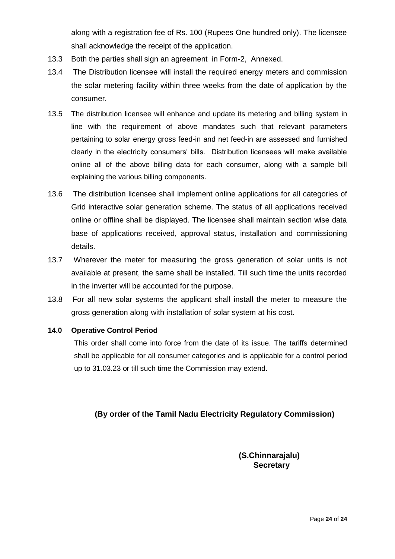along with a registration fee of Rs. 100 (Rupees One hundred only). The licensee shall acknowledge the receipt of the application.

- 13.3 Both the parties shall sign an agreement in Form-2, Annexed.
- 13.4 The Distribution licensee will install the required energy meters and commission the solar metering facility within three weeks from the date of application by the consumer.
- 13.5 The distribution licensee will enhance and update its metering and billing system in line with the requirement of above mandates such that relevant parameters pertaining to solar energy gross feed-in and net feed-in are assessed and furnished clearly in the electricity consumers" bills. Distribution licensees will make available online all of the above billing data for each consumer, along with a sample bill explaining the various billing components.
- 13.6 The distribution licensee shall implement online applications for all categories of Grid interactive solar generation scheme. The status of all applications received online or offline shall be displayed. The licensee shall maintain section wise data base of applications received, approval status, installation and commissioning details.
- 13.7 Wherever the meter for measuring the gross generation of solar units is not available at present, the same shall be installed. Till such time the units recorded in the inverter will be accounted for the purpose.
- 13.8 For all new solar systems the applicant shall install the meter to measure the gross generation along with installation of solar system at his cost.

### **14.0 Operative Control Period**

This order shall come into force from the date of its issue. The tariffs determined shall be applicable for all consumer categories and is applicable for a control period up to 31.03.23 or till such time the Commission may extend.

### **(By order of the Tamil Nadu Electricity Regulatory Commission)**

**(S.Chinnarajalu) Secretary**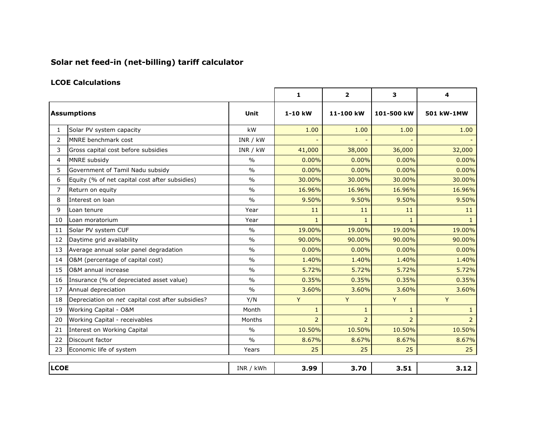## **Solar net feed-in (net-billing) tariff calculator**

### **LCOE Calculations**

|                |                                                   |               | $\mathbf{1}$   | $\overline{2}$ | 3              | $\overline{\mathbf{4}}$ |
|----------------|---------------------------------------------------|---------------|----------------|----------------|----------------|-------------------------|
|                | <b>Assumptions</b>                                |               | $1-10$ kW      | 11-100 kW      | 101-500 kW     | 501 kW-1MW              |
| 1              | Solar PV system capacity                          | kW            | 1.00           | 1.00           | 1.00           | 1.00                    |
| $\overline{2}$ | MNRE benchmark cost                               | INR / kW      |                |                |                |                         |
| 3              | Gross capital cost before subsidies               | INR / kW      | 41,000         | 38,000         | 36,000         | 32,000                  |
| 4              | MNRE subsidy                                      | $\frac{0}{0}$ | $0.00\%$       | 0.00%          | 0.00%          | 0.00%                   |
| 5.             | Government of Tamil Nadu subsidy                  | $\frac{0}{0}$ | 0.00%          | 0.00%          | 0.00%          | 0.00%                   |
| 6              | Equity (% of net capital cost after subsidies)    | $\frac{0}{0}$ | 30.00%         | 30.00%         | 30.00%         | 30.00%                  |
| 7              | Return on equity                                  | $\frac{0}{0}$ | 16.96%         | 16.96%         | 16.96%         | 16.96%                  |
| 8              | Interest on loan                                  | $\frac{0}{0}$ | 9.50%          | 9.50%          | 9.50%          | 9.50%                   |
| 9              | Loan tenure                                       | Year          | 11             | 11             | 11             | 11                      |
| 10             | Loan moratorium                                   | Year          | $\mathbf{1}$   | 1              | $\mathbf{1}$   | $\mathbf{1}$            |
| 11             | Solar PV system CUF                               | $\frac{0}{0}$ | 19.00%         | 19.00%         | 19.00%         | 19.00%                  |
| 12             | Daytime grid availability                         | $\frac{0}{0}$ | 90.00%         | 90.00%         | 90.00%         | 90.00%                  |
| 13             | Average annual solar panel degradation            | $\frac{0}{0}$ | 0.00%          | 0.00%          | 0.00%          | 0.00%                   |
| 14             | O&M (percentage of capital cost)                  | $\frac{0}{0}$ | 1.40%          | 1.40%          | 1.40%          | 1.40%                   |
| 15             | O&M annual increase                               | $\frac{0}{0}$ | 5.72%          | 5.72%          | 5.72%          | 5.72%                   |
| 16             | Insurance (% of depreciated asset value)          | $\frac{0}{0}$ | 0.35%          | 0.35%          | 0.35%          | 0.35%                   |
| 17             | Annual depreciation                               | $\frac{0}{0}$ | 3.60%          | 3.60%          | 3.60%          | 3.60%                   |
| 18             | Depreciation on net capital cost after subsidies? | Y/N           | Y              | Y              | Y              | Y                       |
| 19             | Working Capital - O&M                             | Month         | $\mathbf{1}$   | $\mathbf{1}$   | $\mathbf{1}$   | $\mathbf{1}$            |
| 20             | Working Capital - receivables                     | Months        | $\overline{2}$ | $\overline{2}$ | $\overline{2}$ | $\overline{2}$          |
| 21             | Interest on Working Capital                       | $\frac{0}{0}$ | 10.50%         | 10.50%         | 10.50%         | 10.50%                  |
| 22             | Discount factor                                   | 0/0           | 8.67%          | 8.67%          | 8.67%          | 8.67%                   |
| 23             | Economic life of system                           | Years         | 25             | 25             | 25             | 25                      |
|                |                                                   |               |                |                |                |                         |
| <b>LCOE</b>    |                                                   | INR / kWh     | 3.99           | 3.70           | 3.51           | 3.12                    |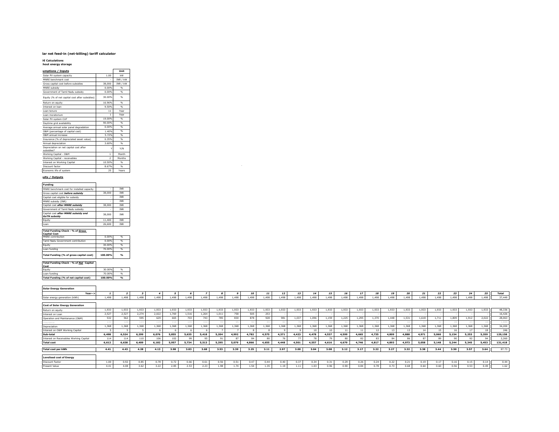#### lar net feed-in (net-billing) tariff calculator

#### **LE Calculations<br>hout energy storage**

| umptions / Inputs                                    |               | Unit          |
|------------------------------------------------------|---------------|---------------|
|                                                      |               |               |
| Solar PV system capacity                             | 1.00          | kW            |
| MNRE benchmark cost                                  | ł,            | INR / kW      |
| Gross capital cost before subsidies                  | 38,000        | INR / kW      |
| MNRE subsidy                                         | 0.00%         | $\frac{9}{6}$ |
| Government of Tamil Nadu subsidy                     | 0.00%         | $\frac{9}{6}$ |
| Equity (% of net capital cost after subsidies)       | 30.00%        | 96            |
| Return on equity                                     | 16.96%        | $\frac{9}{6}$ |
| Interest on loan                                     | 9.50%         | $\frac{9}{6}$ |
| Loan tenure                                          | 11            | Year          |
| Loan moratorium                                      | $\mathbf{1}$  | Year          |
| Solar PV system CUF                                  | 19.00%        | 96            |
| Daytime grid availability                            | 90.00%        | 96            |
| Average annual solar panel degradation               | 0.00%         | $\frac{9}{6}$ |
| O&M (percentage of capital cost)                     | 1.40%         | $\frac{9}{6}$ |
| O&M annual increase                                  | 5.72%         | 96            |
| Insurance (% of depreciated asset value)             | 0.35%         | $\frac{9}{6}$ |
| Annual depreciation                                  | 3.60%         | $\frac{9}{6}$ |
| Depreciation on net capital cost after<br>subsidies? | Y             | Y/N           |
| Working Capital - O&M                                | $\mathbf{1}$  | Month         |
| Working Capital - receivables                        | $\mathcal{P}$ | Months        |
| Interest on Working Capital                          | 10.50%        | 96            |
|                                                      |               |               |
| Discount factor                                      | 8.67%         | 96            |

#### **Results / Outputs**

| <b>Funding</b>                                             |        |            |
|------------------------------------------------------------|--------|------------|
| MNRE benchmark cost for installed capacity                 |        | <b>TNR</b> |
| Gross capital cost before subsidy                          | 38,000 | <b>TNR</b> |
| Capital cost eligible for subsidy                          |        | <b>TNR</b> |
| MNRE subsidy (INR)                                         |        | <b>TNR</b> |
| Capital cost after MNRE subsidy                            | 38,000 | <b>TNR</b> |
| Government of Tamil Nadu subsidy                           |        | <b>TNR</b> |
| Capital cost after MNRE subsidy and<br><b>GoTN subsidv</b> | 38,000 | <b>TNR</b> |
| Equity                                                     | 11,400 | <b>TNR</b> |
| Loan                                                       | 26.600 | <b>TNR</b> |

┑

#### **Total Funding Check - % of** *Gross*

| <b>Capital Cost</b>                     |         |               |
|-----------------------------------------|---------|---------------|
| MNRE contribution                       | 0.00%   | %             |
| Tamil Nadu Government contribution      | 0.00%   | $\frac{9}{6}$ |
| Equity                                  | 30.00%  | %             |
| Loan funding                            | 70.00%  | $\frac{9}{6}$ |
| Total Funding (% of gross capital cost) | 100.00% | O(n)          |

#### **Total Funding Check - % of** *Net* **Capital Cost**

| Total Funding (% of net capital cost) | 100.00% | $\alpha$ |
|---------------------------------------|---------|----------|
| Loan funding                          | 70.00%  | 96       |
| Equity                                | 30.00%  | 96       |
| <b>ICost</b>                          |         |          |

**Solar Energy Generation Year-->** *1 2 3 4 5 6 7 8 9 10 11 12 13 14 15 16 17 18 19 20 21 22 23 24 25* **Total** Solar energy generation (kWh) 1,498 1,498 1,498 1,498 1,498 1,498 1,498 1,498 1,498 1,498 1,498 1,498 1,498 1,498 1,498 1,498 1,498 1,498 1,498 1,498 1,498 1,498 1,498 1,498 1,498 37,449 **Cost of Solar Energy Generation** Return on equity 1,933 1,933 1,933 1,933 1,933 1,933 1,933 1,933 1,933 1,933 1,933 1,933 1,933 1,933 1,933 1,933 1,933 1,933 1,933 1,933 1,933 1,933 1,933 1,933 1,933 48,336 Interest on Loan 2,527 2,527 2,274 2,022 1,769 1,516 1,264 1,011 758 505 253 - - - - - - - - - - - - - - 16,426 Operation and Maintenance (O&M) | 532 | 562 | 595 | 629 | 665 | 703 | 743 | 785 | 830 | 878 | 928 | 981 | 1,037 | 1,096 | 1,159 | 1,235 | 1,235 | 1,230 | 1,448 | 1,531 | 1,618 | 1,711 | 1,809 | 1,912 | 2,02 Insurance 133 128 128 129 119 114 109 104 99 95 90 85 80 76 71 66 61 56 52 47 42 37 32 28 28 18 1,889 Depreciation 1,368 1,368 1,368 1,368 1,368 1,368 1,368 1,368 1,368 1,368 1,368 1,368 1,368 1,368 1,368 1,368 1,368 1,368 1,368 1,368 1,368 1,368 1,368 1,368 1,368 34,200 Interest on O&M Working Capital | 5 | 5 | 5 | 6 | 6 | 6 | 6 | 7 | 7 | 8 | 8 | 9 | 9 | 10 | 11 | 11 | 11 | 12 | 13 | 14 | 15 | 16 | 17 | 18 || 246 **Sub-total 6,498 6,524 6,299 6,076 5,855 5,635 5,418 5,204 4,992 4,782 4,575 4,371 4,423 4,478 4,537 4,599 4,665 4,735 4,809 4,888 4,971 5,060 5,154 5,253 5,359 129,158** Interest on Receivables Working Capital 114 114 110 106 102 99 95 91 87 84 80 76 77 78 79 80 82 83 84 86 87 89 90 92 94 2,260 **Total cost 6,612 6,638 6,409 6,182 5,957 5,734 5,513 5,295 5,079 4,866 4,655 4,448 4,501 4,557 4,616 4,679 4,746 4,817 4,893 4,973 5,058 5,148 5,244 5,345 5,453 131,418 Total cost per kWh 4.41 4.43 4.28 4.13 3.98 3.83 3.68 3.53 3.39 3.25 3.11 2.97 3.00 3.04 3.08 3.12 3.17 3.22 3.27 3.32 3.38 3.44 3.50 3.57 3.64** 87.73 **Levelised cost of Energy** Discount Factor 0.78 | 0.78 | 0.66 | 0.61 | 0.56 | 0.47 | 0.44 | 0.40 | 0.34 | 0.24 | 0.24 | 0.24 | 0.22 | 0.21 | 0.21 | 0.19 | 0.17 | 0.16 | 0.14 || 0.44 |

Present Value | 4.41 | 4.08 | 3.62 | 3.22 | 2.85 | 2.23 | 1.98 | 1.74 | 1.54 | 1.52 | 1.19 | 1.11 | 1.03 | 0.96 | 0.96 | 0.78 | 0.78 | 0.73 | 0.68 | 0.64 | 0.66 | 0.56 | 0.53 | 0.49 || 1.62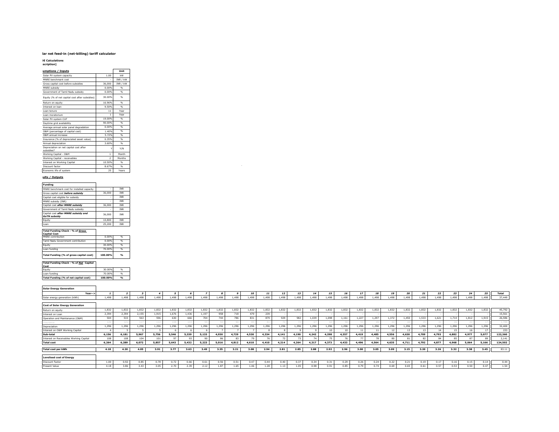#### lar net feed-in (net-billing) tariff calculator

### **LCOE Calculations [description]**

| umptions / Inputs                                    |                | Unit          |
|------------------------------------------------------|----------------|---------------|
| Solar PV system capacity                             | 1.00           | kW            |
| MNRE benchmark cost                                  | ٠              | INR / kW      |
| Gross capital cost before subsidies                  | 36,000         | INR / kW      |
| MNRE subsidy                                         | 0.00%          | $\frac{9}{6}$ |
| Government of Tamil Nadu subsidy                     | 0.00%          | $\frac{9}{6}$ |
| Equity (% of net capital cost after subsidies)       | 30.00%         | 96            |
| Return on equity                                     | 16.96%         | $\frac{9}{6}$ |
| Interest on loan                                     | 9.50%          | $\frac{9}{6}$ |
| Loan tenure                                          | 11             | Year          |
| Loan moratorium                                      | $\mathbf{1}$   | Year          |
| Solar PV system CUF                                  | 19.00%         | $\frac{9}{6}$ |
| Davtime grid availability                            | 90.00%         | $\frac{9}{6}$ |
| Average annual solar panel degradation               | 0.00%          | $\frac{9}{6}$ |
| O&M (percentage of capital cost)                     | 1.40%          | 96            |
| O&M annual increase                                  | 5.72%          | 96            |
| Insurance (% of depreciated asset value)             | 0.35%          | $\frac{9}{6}$ |
| Annual depreciation                                  | 3.60%          | $\frac{9}{6}$ |
| Depreciation on net capital cost after<br>subsidies? | Y              | Y/N           |
| Working Capital - O&M                                | $\mathbf{1}$   | Month         |
| Working Capital - receivables                        | $\overline{2}$ | Months        |
| Interest on Working Capital                          | 10.50%         | 96            |
| Discount factor                                      | 8.67%          | $\frac{9}{6}$ |
| Economic life of system                              | 25             | Years         |

#### **Results / Outputs**

| .                                                          |        |            |
|------------------------------------------------------------|--------|------------|
| MNRE benchmark cost for installed capacity                 |        | <b>TNR</b> |
| Gross capital cost before subsidy                          | 36,000 | <b>TNR</b> |
| Capital cost eligible for subsidy                          |        | <b>INR</b> |
| MNRE subsidy (INR)                                         |        | <b>INR</b> |
| Capital cost after MNRE subsidy                            | 36,000 | <b>INR</b> |
| Government of Tamil Nadu subsidy                           |        | <b>TNR</b> |
| Capital cost after MNRE subsidy and<br><b>GoTN subsidv</b> | 36,000 | <b>TNR</b> |
| Equity                                                     | 10.800 | <b>TNR</b> |
| Loan                                                       | 25.200 | <b>TNR</b> |

┑

#### **Total Funding Check - % of** *Gross*

| <b>Capital Cost</b>                     |         |               |
|-----------------------------------------|---------|---------------|
| MNRE contribution                       | 0.00%   | $\frac{9}{6}$ |
| Tamil Nadu Government contribution      | 0.00%   | %             |
| Equity                                  | 30.00%  | $\frac{9}{6}$ |
| Loan funding                            | 70.00%  | %             |
| Total Funding (% of gross capital cost) | 100.00% | $\alpha$      |

#### **Total Funding Check - % of** *Net* **Capital**

| Total Funding (% of net capital cost) | 100.00% | $\alpha$ |
|---------------------------------------|---------|----------|
| Loan funding                          | 70.00%  | 96       |
| Equity                                | 30.00%  | 96       |
| Cost                                  |         |          |

**Solar Energy Generation Year-->** *1 2 3 4 5 6 7 8 9 10 11 12 13 14 15 16 17 18 19 20 21 22 23 24 25* **Total** Solar energy generation (kWh) 1,498 1,498 1,498 1,498 1,498 1,498 1,498 1,498 1,498 1,498 1,498 1,498 1,498 1,498 1,498 1,498 1,498 1,498 1,498 1,498 1,498 1,498 1,498 1,498 1,498 37,449 **Cost of Solar Energy Generation** Return on equity 1,832 | 1,832 | 1,832 | 1,832 | 1,832 | 1,832 | 1,832 | 1,832 | 1,832 | 1,832 | 1,832 | 1,832 | 1,832 | 1,832 | 1,832 | 1,832 | 1,832 | 1,832 | 1,832 | 1,832 | 1,832 | 1, Interest on Loan 2,394 2,394 2,155 1,915 1,676 1,436 1,197 958 718 479 239 - - - - - - - - - - - - - - 15,561 Operation and Maintenance (O&M) | 504 | 533 | 565 | 506 | 506 | 704 | 744 | 786 | 851 879 929 | 982 | 1,039 | 1,039 | 1,039 | 1,237 | 1,237 | 1,237 | 1,450 | 1,533 | 1,621 | 1,714 | 1,812 | 1,915 || 26, Insurance 126 126 121 127 112 108 103 99 94 90 85 81 76 72 67 62 58 53 49 44 40 35 31 26 22 17 1,789 Depreciation 1,296 1,296 1,296 1,296 1,296 1,296 1,296 1,296 1,296 1,296 1,296 1,296 1,296 1,296 1,296 1,296 1,296 1,296 1,296 1,296 1,296 1,296 1,296 1,296 1,296 32,400 Interest on O&M Working Capital | 4 | 5 | 5 | 5 | 6 | 6 | 6 | 7 | 7 | 8 | 8 | 9 | 9 | 10 | 11 | 11 | 12 | 13 | 14 | 15 | 16 | 17 || 233 **Sub-total 6,156 6,181 5,967 5,756 5,546 5,339 5,133 4,930 4,729 4,530 4,334 4,141 4,190 4,242 4,298 4,357 4,419 4,485 4,556 4,630 4,709 4,793 4,882 4,977 5,077 122,360** Interest on Receivables Working Capital | 108 | 104 | 101 | 97 | 93 | 90 | 86 | 83 | 79 | 76 | 72 | 74 | 75 | 76 | 77 | 78 | 80 | 81 | 82 | 84 | 85 | 87 | 89 || 2,141 **Total cost 6,264 6,289 6,072 5,857 5,643 5,432 5,223 5,016 4,812 4,610 4,410 4,214 4,264 4,317 4,373 4,433 4,496 4,564 4,635 4,711 4,792 4,877 4,968 5,064 5,166 124,502 Total cost per kWh 4.18 4.20 4.05 3.91 3.77 3.63 3.49 3.35 3.21 3.08 2.94 2.81 2.85 2.88 2.92 2.96 3.00 3.05 3.09 3.15 3.20 3.26 3.32 3.38 3.45** 83.11 **Levelised cost of Energy** Discount Factor 0.78 | 0.78 | 0.66 | 0.61 | 0.56 | 0.47 | 0.44 | 0.40 | 0.34 | 0.24 | 0.24 | 0.24 | 0.22 | 0.21 | 0.21 | 0.19 | 0.17 | 0.16 | 0.14 || 0.44 |

Present Value | 4.18 | 3.86 | 3.43 | 3.05 | 2.79 | 2.39 | 2.12 | 1.87 | 1.65 | 1.81 | 1.82 | 1.82 | 1.82 | 1.82 | 1.82 | 1.82 | 1.82 | 0.98 | 0.98 | 0.98 | 0.97 | 0.79 | 0.50 | 0.50 | 0.50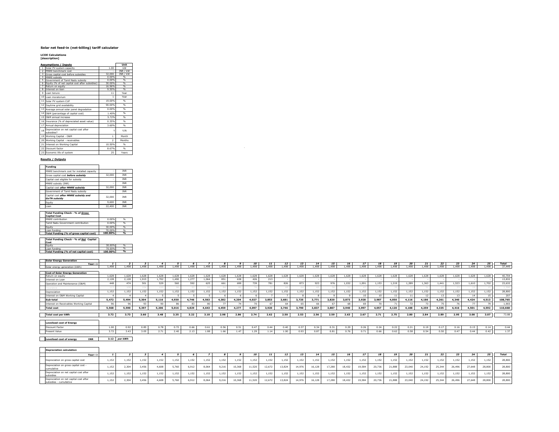### **Solar net feed-in (net-billing) tariff calculator**

**LCOE Calculations [description]**

|                | <b>Assumptions / Inputs</b>                          |                | Unit          |
|----------------|------------------------------------------------------|----------------|---------------|
| $\mathbf{1}$   | Solar PV system capacity                             | 1.00           | kW            |
| $\overline{2}$ | MNRE benchmark cost                                  |                | INR / kW      |
|                | 3 Gross capital cost before subsidies                | 32.000         | INR / kW      |
| 4              | MNRE subsidy                                         | 0.00%          | %             |
|                | 5 Government of Tamil Nadu subsidy                   | 0.00%          | $\frac{9}{6}$ |
| 6              | Equity (% of net capital cost after subsidies)       | 30.00%         | %             |
| $\overline{ }$ | Return on equity                                     | 16.96%         | $\frac{9}{6}$ |
| 8              | Interest on loan                                     | 9.50%          | %             |
| 9              | Loan tenure                                          | 11             | Year          |
|                | 10 Loan moratorium                                   |                | Year          |
|                | 11 Solar PV system CUF                               | 19.00%         | $\frac{9}{6}$ |
|                | 12 Daytime grid availability                         | 90.00%         | $\frac{9}{6}$ |
|                | 13 Average annual solar panel degradation            | 0.00%          | 96            |
|                | 14 O&M (percentage of capital cost)                  | 1.40%          | $\frac{9}{6}$ |
|                | 15 O&M annual increase                               | 5.72%          | $\frac{9}{6}$ |
|                | 16 Insurance (% of depreciated asset value)          | 0.35%          | 96            |
| 17             | Annual depreciation                                  | 3.60%          | $\frac{9}{6}$ |
| 18             | Depreciation on net capital cost after<br>subsidies? |                | Y/N           |
|                | 19 Working Capital - O&M                             | $\mathbf{1}$   | Month         |
|                | 20 Working Capital - receivables                     | $\overline{2}$ | Months        |
| 21             | Interest on Working Capital                          | 10.50%         | $\frac{9}{6}$ |
|                | 22 Discount factor                                   | 8.67%          | 96            |
|                | 23 Economic life of system                           | 25             | Years         |

#### **Results / Outputs**

| <b>Funding</b>                                             |        |            |
|------------------------------------------------------------|--------|------------|
| MNRE benchmark cost for installed capacity                 |        | <b>INR</b> |
| Gross capital cost before subsidy                          | 32,000 | <b>TNR</b> |
| Capital cost eligible for subsidy                          |        | <b>TNR</b> |
| MNRE subsidy (INR)                                         |        | <b>INR</b> |
| Capital cost after MNRE subsidy                            | 32,000 | <b>INR</b> |
| Government of Tamil Nadu subsidy                           |        | <b>INR</b> |
| Capital cost after MNRE subsidy and<br><b>GoTN subsidy</b> | 32,000 | <b>TNR</b> |
| Equity                                                     | 9.600  | <b>TNR</b> |
| Loan                                                       | 22,400 | <b>INR</b> |

#### **Total Funding Check - % of** *Gross*  **Capital Cost**

| 0.00%   | %        |
|---------|----------|
| 0.00%   | %        |
| 30.00%  | %        |
| 70.00%  | %        |
| 100.00% | $\alpha$ |
|         |          |

#### **Total Funding Check - % of** *Net* **Capital Cost**

| Total Funding (% of net capital cost) | 100.00% | $\%$ |
|---------------------------------------|---------|------|
| Loan funding                          | 70.00%  | 96   |
|                                       | 30.00%  | 96   |
| LCOST                                 |         |      |

| <b>Solar Energy Gene</b><br>ration<br>. |     |        |        |      |       |       |        |       |      |       |       |       |     |                 |                 |      |                          |        |       |       |       |       |                              |       |       |                 |              |
|-----------------------------------------|-----|--------|--------|------|-------|-------|--------|-------|------|-------|-------|-------|-----|-----------------|-----------------|------|--------------------------|--------|-------|-------|-------|-------|------------------------------|-------|-------|-----------------|--------------|
|                                         | ear |        |        |      |       |       |        |       |      |       | 10    | 11    | 12  | 13 <sub>1</sub> | 14 <sup>1</sup> |      | $\overline{\phantom{a}}$ |        |       |       | --    | $-1$  | 22                           | $- -$ | 24    | 25 <sub>1</sub> | <b>Total</b> |
|                                         |     | $\sim$ | $-498$ | .498 | 1.498 | 1.498 | $-498$ | 1.400 | .498 | 1.498 | 1.498 | 1.498 | 498 | 1.498           | 1.498           | .498 | 0.061                    | $\sim$ | 1.498 | 1.498 | 1.498 | $  -$ | $\sim$ $\sim$ $\sim$<br>.498 | 1.498 | 1.498 | 1000            | 37,449       |
|                                         |     |        |        |      |       |       |        |       |      |       |       |       |     |                 |                 |      |                          |        |       |       |       |       |                              |       |       |                 |              |

| <b>Cost of Solar Energy Generation</b><br>Return on equity | 1.628 | .628  | .628  | 1.628  |       | 1.628 | .628  | 1.628 | .628  | .628  |       | .628  | .628  | .628  | .628  | 1.628 | 1.628 | .628  | 1.628                | .628  | 1.628 |       | 1.628 | .628       | 1.628 | 40,704  |
|------------------------------------------------------------|-------|-------|-------|--------|-------|-------|-------|-------|-------|-------|-------|-------|-------|-------|-------|-------|-------|-------|----------------------|-------|-------|-------|-------|------------|-------|---------|
| Interest on Loan                                           | 2,128 | 2.128 | 1.915 | 1.702  | 1.490 | 1.277 | 1.064 | 851   | 638   | 426   | 213   |       |       |       |       |       |       |       |                      |       |       |       |       |            |       | 13,832  |
| Operation and Maintenance (O&M)                            | 448   | 474   | 501   | 529    | 560   | 592   | 625   | 661   | 699   | 739   | 781   | 826   | 873   | 923   | 976   | 1,032 | 1,091 | 1,153 | 1,219                | 1.289 | 1,363 | 1,441 | 1,523 | 1,610      | 1.702 | 23,632  |
|                                                            |       |       |       |        |       |       |       |       |       |       |       |       |       |       |       |       |       |       |                      |       |       |       |       |            |       |         |
|                                                            | 112   |       |       | $\sim$ |       |       |       |       |       |       |       |       |       |       |       |       |       |       |                      |       |       |       |       |            |       |         |
| Depreciation                                               | 1,152 | 1.152 | 1.152 | 1,152  | 1.152 | 1.152 | 1,152 | 1.152 | 1.152 | 1.152 | 1.152 | 1.152 | 1.152 | 1.152 | 1,152 | 1.152 | 1,152 | 1,152 | 1,152                | 1,152 | 1,152 | 1.152 | 1.152 | 1.152      | 1.152 | 28,800  |
| Interest on O&M Working Capital                            |       |       |       |        |       |       |       |       |       |       |       |       |       |       |       |       |       |       | $\ddot{\phantom{0}}$ |       |       |       |       | <b>* 4</b> |       | 207     |
| Sub-total                                                  | 5,472 | 5,494 | 5,304 | 5.116  | 4.930 | 4.746 | 4,563 | 4.382 | 4.204 | 4.027 | 3,853 | 3,681 | 3,725 | 3,771 | 3,820 | 3,873 | 3.928 | 3,987 | 4,050                | 4.116 | 4.186 | 4,261 | 4.340 | 4,424      | 4,513 | 108,765 |
| Interest on Receivables Working Capital                    | 96    | 96    |       | 90     |       |       |       |       | 79.4  |       |       |       |       | 66    |       | 68    | 69    |       |                      |       | 75.0  |       |       |            |       | 1,903   |
| <b>Total cost</b>                                          | 5,568 | 5,590 | 5,397 | 5,206  | 5.016 | 4.829 | 4.643 | 1.459 | 4.277 | 4.097 | 3,920 | 3.746 | 3.790 | 3.837 | 3,887 | 3,940 | 3,997 | 4.057 | 4.120                |       | 1.259 | 4.335 | 4.416 | 4.501      | 4.592 | 110,668 |
|                                                            |       |       |       |        |       |       |       |       |       |       |       |       |       |       |       |       |       |       |                      |       |       |       |       |            |       |         |
| <b>Total cost per kWh</b>                                  | 3.72  | 3.73  | 3.60  | 3.48   | 3.35  | 3.22  | 3.10  | 2.98  | 2.86  | 2.74  | 2.62  | 2.50  | 2.53  | 2.56  | 2.59  | 2.63  | 2.67  | 2.71  | 2.75                 | 2.80  | 2.84  | 2.89  | 2.95  | 3.00       | 3.07  | 73.88   |
|                                                            |       |       |       |        |       |       |       |       |       |       |       |       |       |       |       |       |       |       |                      |       |       |       |       |            |       |         |
| <b>Levelised cost of Energy</b>                            |       |       |       |        |       |       |       |       |       |       |       |       |       |       |       |       |       |       |                      |       |       |       |       |            |       |         |
| Discount Factor                                            | 1.00  | 0.92  | 0.85  | 0.78   | 0.72  | 0.66  | 0.61  | 0.56  | 0.51  | 0.47  | 0.44  | 0.40  | 0.37  | 0.34  | 0.31  | 0.29  | 0.26  | 0.24  | 0.22                 | 0.21  | 0.19  | 0.17  | 0.16  | 0.15       | 0.14  | 0.44    |
| Present Value                                              | 3.72  | 3.43  |       | 2.71   | 2.40  | 2.37  | 1.88  | 1.66  | 1.47  | $-29$ | 1.14  | 1.00  | 0.93  | 0.87  | 0.81  | 0.76  | 0.71  | 9.66  | 0.62                 | 0.58  | 0.54  |       | 0.47  | 0.44       | 0.42  | 1.37    |

#### **Levelised cost of energy INR 3.12** *per kWh*

| <b>Moved</b> cost of Energy |            |                    |     |   |      |  |          |      |      |       |      |      |      |      |      |      |      |              |      |      |      |                 |              |      |
|-----------------------------|------------|--------------------|-----|---|------|--|----------|------|------|-------|------|------|------|------|------|------|------|--------------|------|------|------|-----------------|--------------|------|
| Discount Factor             |            | .<br>              | .94 |   | 0.78 |  | U.O.     | 0.56 | 0.51 |       | 0.40 | 0.37 | 0.34 | u.s. | 0.29 | 0.26 | 0.24 | 0.22<br>U.ZZ | 0.21 | 0.19 | 0.17 | $-10-1$<br>J.13 | $0.14$ $1.7$ |      |
| __                          |            | $\cdots$<br>s. 1 2 |     | , | 2.71 |  | 1.00<br> | 1.66 | 1.47 | .<br> | 1.00 | 0.93 | 0.87 | 0.81 | 0.76 | 0.71 | 0.66 | 0.62         | 0.58 | 0.54 | u.su | $-44$           | $1.42$       | 1.37 |
|                             |            |                    |     |   |      |  |          |      |      |       |      |      |      |      |      |      |      |              |      |      |      |                 |              |      |
| Levelised cost of energy    | <b>TND</b> | 3.12 per kWh       |     |   |      |  |          |      |      |       |      |      |      |      |      |      |      |              |      |      |      |                 |              |      |

### **Depreciation calculation**

| pepreciation calculation                                          |       |       |       |       |       |       |       |       |        |        |        |        |        |        |        |        |        |        |        |        |        |        |        |        |        |        |
|-------------------------------------------------------------------|-------|-------|-------|-------|-------|-------|-------|-------|--------|--------|--------|--------|--------|--------|--------|--------|--------|--------|--------|--------|--------|--------|--------|--------|--------|--------|
| Year-->                                                           |       |       |       |       |       |       |       |       |        | 10     |        | 12     | 13     | 14     | 15     | 16     | 17     | 18     | 19     |        | 21     | 22     | 23     | -24    | 25     | Total  |
| Depreciation on gross capital cost                                | 1,152 | 152ء  | 1,152 | 1.152 | 1,152 | .152  | 1.152 | 1.152 | 1,152  | l, 152 | 1,152  | 1,152  | 1,152  | 1,152  | 1,152  | 1,152  | 1.152  | .152   | 1.152  | 1.152  | ,152   | 1,152  | 1.152  | 1,152  | 1,152  | 28,800 |
| Depreciation on gross capital cost -<br>cumulative                | 1,152 |       | 3,456 | 4.608 | 5.760 | 6.912 | 8,064 | 9.216 | 10,368 | 11.520 | 12.672 | 13.824 | 14,976 | 16.128 | 17.280 | 18,432 | 19,584 | 20.736 | 21.888 | 23,040 | 24,192 | 25,344 | 26.496 | 27,648 | 28,800 | 28,800 |
| Depreciation on net capital cost after<br>subsidies               | 1.152 | 1,152 | 1,152 | 1.152 | 1.152 | .152  | 1.152 | 1.152 | 1,152  | 1.152  | 1.152  | 1.152  | 1,152  | 1.152  | 1.152  | 1,152  | 1.152  | 1.152  | 1.152  | 1.152  | 1,152  | 1.152  | 1.152  | 1.152  | 1.152  | 28,800 |
| Depreciation on net capital cost after<br>subsidies - cumullative | 1.152 | 2.304 | 3,456 | 4.608 | 5.760 | 6.912 | 8,064 | 9.216 | 10,36  | 11.520 | 12.672 | 13,824 | 14,976 | 16.128 | 17.280 | 18,432 | 19,584 | 20.736 | 21.888 | 23,040 | 24,192 | 25,344 | 26,496 | 27,648 | 28,800 | 28,800 |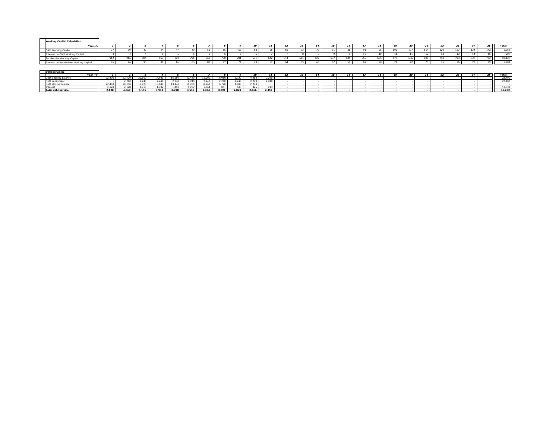| <b>Working Capital Calculation</b>      |        |         |        |      |      |      |      |      |       |                                |                         |                 |     |     |     |     |     |     |     |     |     |     |     |            |     |                  |
|-----------------------------------------|--------|---------|--------|------|------|------|------|------|-------|--------------------------------|-------------------------|-----------------|-----|-----|-----|-----|-----|-----|-----|-----|-----|-----|-----|------------|-----|------------------|
| Year-->                                 |        |         |        |      |      |      |      |      |       |                                | 11                      | 12              |     | 14  | 15  |     |     | 18  | 19  | 20  | 21  | 22  | 23  | 24         | -25 | Total            |
| O&M Working Capital                     |        |         |        |      |      |      |      |      |       |                                | 65                      |                 |     |     |     |     |     | 96  | 102 | 107 | 114 | 120 | 127 | 12A<br>بجد | 142 | 1,969            |
| Interest on O&M Working Capital<br>—    |        |         |        |      |      |      |      |      |       |                                |                         |                 |     |     |     |     | -10 |     |     |     | 12  |     |     |            |     | 207              |
| Receivables Working Capital<br>__       | 912    | 910     | 884    | 853  | 822  | 791  | 760  | 730  | 101   | 671                            | 642                     | 61.             | 621 | 629 | 637 | 645 | 655 | 665 | 675 | 686 | 698 | 710 | 723 | 737        | 752 | 18,127           |
| Interest on Receivables Working Capital |        |         | $\sim$ |      | 86   |      |      |      |       |                                |                         |                 | 65  | 66  |     |     |     |     |     | ,,  |     |     |     |            |     | 1,903            |
|                                         |        |         |        |      |      |      |      |      |       |                                |                         |                 |     |     |     |     |     |     |     |     |     |     |     |            |     |                  |
| <b>Debt Servicing</b>                   |        |         |        |      |      |      |      |      |       |                                |                         |                 |     |     |     |     |     |     |     |     |     |     |     |            |     |                  |
| $Year \rightarrow$                      | $   -$ | -- -- - | —————  | ———— | ———— | ———— | ———— | ———— | ————— | 10<br>$\overline{\phantom{a}}$ | 11 <sup>1</sup><br>---- | 12 <sub>1</sub> | 13  | 14  | 15  | 16  |     | 18  | 19  | 20  | 21  | 22  | 23  | 24         | 25  | Total<br>-- -- - |
|                                         |        |         |        |      |      |      |      |      |       |                                |                         |                 |     |     |     |     |     |     |     |     |     |     |     |            |     |                  |

|                                | 22.400 | $12.40^\circ$  | 20.160 | 7.920    | 5.68   |       | 1.20   | 0.00<br>. טע | 5.720       |                | 1.240 |  |  |  |  |  |  | 22.400 |
|--------------------------------|--------|----------------|--------|----------|--------|-------|--------|--------------|-------------|----------------|-------|--|--|--|--|--|--|--------|
|                                |        | $\sim$<br>7411 |        | 240      | 0.40   |       |        | 2.40         | 0.40<br>741 | 2.240          | 240   |  |  |  |  |  |  | 22.400 |
|                                | 22,400 |                | 7.02   |          |        |       | $\sim$ |              | 1.490       |                |       |  |  |  |  |  |  |        |
|                                | 2.128  | 2.128          | $\sim$ | 23.05.05 | $\sim$ | 222   | $\sim$ |              | 620         | $\overline{1}$ |       |  |  |  |  |  |  | 13837  |
| Total dobt cor<br>uept service | 2.128  | 4,368          | 4.155  | 3,942    | 3.730  | 3.517 | 3,304  | 3,091        | 2,878       | 2,666          | 2,453 |  |  |  |  |  |  | 36,232 |
|                                |        |                |        |          |        |       |        |              |             |                |       |  |  |  |  |  |  |        |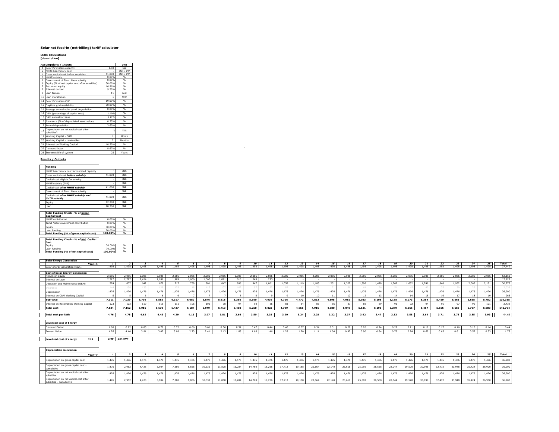### **Solar net feed-in (net-billing) tariff calculator**

**LCOE Calculations [description]**

| <b>Assumptions / Inputs</b>                                    |               | Unit           |
|----------------------------------------------------------------|---------------|----------------|
|                                                                |               |                |
| Solar PV system capacity<br>$\mathbf{1}$                       | 1.00          | kW<br>INR / kW |
| $\overline{2}$<br>MNRE benchmark cost                          |               |                |
| $\overline{\mathbf{3}}$<br>Gross capital cost before subsidies | 41.000        | INR / kW       |
| MNRE subsidy<br>4                                              | 0.00%         | %              |
| 5<br>Government of Tamil Nadu subsidv                          | 0.00%         | $\frac{9}{6}$  |
| 6<br>Equity (% of net capital cost after subsidies)            | 30.00%        | %              |
| $\overline{7}$<br>Return on equity                             | 16.96%        | $\frac{9}{6}$  |
| 8<br>Interest on loan                                          | 9.50%         | %              |
| 9<br>Loan tenure                                               | 11            | Year           |
| 10 Loan moratorium                                             |               | Year           |
| 11 Solar PV system CUF                                         | 19.00%        | 9 <sub>0</sub> |
| 12 Daytime grid availability                                   | 90.00%        | $\frac{9}{6}$  |
| 13 Average annual solar panel degradation                      | 0.00%         | %              |
| 14 O&M (percentage of capital cost)                            | 1.40%         | 96             |
| 15 OSM annual increase                                         | 5.72%         | %              |
| 16 Insurance (% of depreciated asset value)                    | 0.35%         | %              |
| 17 Annual depreciation                                         | 3.60%         | 96             |
| Depreciation on net capital cost after<br>18<br>subsidies?     |               | Y/N            |
| 19 Working Capital - O&M                                       | $\mathbf{1}$  | Month          |
| 20 Working Capital - receivables                               | $\mathcal{P}$ | Months         |
| 21<br>Interest on Working Capital                              | 10.50%        | $\frac{9}{6}$  |
| 22 Discount factor                                             | 8.67%         | 96             |
| 23 Economic life of system                                     | 25            | Years          |

#### **Results / Outputs**

| <b>Funding</b>                                             |        |            |
|------------------------------------------------------------|--------|------------|
| MNRE benchmark cost for installed capacity                 |        | <b>INR</b> |
| Gross capital cost before subsidy                          | 41.000 | <b>INR</b> |
| Capital cost eligible for subsidy                          |        | <b>INR</b> |
| MNRE subsidy (INR)                                         |        | <b>INR</b> |
| Capital cost after MNRE subsidy                            | 41.000 | <b>INR</b> |
| Government of Tamil Nadu subsidy                           |        | <b>INR</b> |
| Capital cost after MNRE subsidy and<br><b>GoTN</b> subsidy | 41.000 | <b>TNR</b> |
| Equity                                                     | 12,300 | <b>TNR</b> |
| Loan                                                       | 28,700 | <b>TNR</b> |

#### **Total Funding Check - % of** *Gross*  **Capital Cost**

| <b>Capital Cost</b>                     |         |          |
|-----------------------------------------|---------|----------|
| MNRE contribution                       | 0.00%   | %        |
| Tamil Nadu Government contribution      | 0.00%   | %        |
| Equity                                  | 30.00%  | %        |
| Loan funding                            | 70.00%  | %        |
| Total Funding (% of gross capital cost) | 100.00% | $\alpha$ |

#### **Total Funding Check - % of** *Net* **Capital Cost**

| Total Funding (% of net capital cost) | 100.00% | %  |
|---------------------------------------|---------|----|
| Loan funding                          | 70.00%  | 96 |
| Faulty                                | 30.00%  | 96 |
| Cost                                  |         |    |

| Year-->. |            |                 |          |            |        |        |             |       |       | 10   |           | 12 <sup>12</sup>     |      |     |          |                     |          |     |       | $-1$               |               |      | 25 I |       |
|----------|------------|-----------------|----------|------------|--------|--------|-------------|-------|-------|------|-----------|----------------------|------|-----|----------|---------------------|----------|-----|-------|--------------------|---------------|------|------|-------|
|          | $\sim$<br> | $\overline{AB}$ | $\Delta$ | $\sqrt{2}$ | $\sim$ | $-100$ | $\sim$<br>. | 1.498 | 1.498 | -498 | $A$ Q $$$ | .<br>$\cdots$<br>490 | .498 | 498 | $\Delta$ | <br>$\sqrt{2}$<br>. | 498<br>. | 498 | <br>. | $  -$<br>.<br>טכד. | 1.00<br>$-10$ | .498 |      | 1.449 |
|          |            |                 |          |            |        |        |             |       |       |      |           |                      |      |     |          |                     |          |     |       |                    |               |      |      |       |

| <b>Cost of Solar Energy Generation</b>  |         |       |       |        |       |       |            |       |       |            |       |       |        |        |         |       |        |       |       |       |       |       |       |       |       |         |
|-----------------------------------------|---------|-------|-------|--------|-------|-------|------------|-------|-------|------------|-------|-------|--------|--------|---------|-------|--------|-------|-------|-------|-------|-------|-------|-------|-------|---------|
| Return on equity                        | 2.086   | nge   |       | .086   |       | ORE   | <b>086</b> | .086  |       | .086       | OBF   | no.   | .086   | 086    | .086    |       |        |       |       |       | .086  |       |       | 086   | .086  | 52,152  |
| Interest on Loan                        | 2,727   | 2.727 | 2,454 | 2.181  | 1,909 | 1,636 | 1,363      | 1.091 | 818   | 545        | 27    |       |        |        |         |       |        |       |       |       |       |       |       |       |       | 17,722  |
| Operation and Maintenance (O&M)         | 574     | 607   | 642   | 678    | 717   | 758   | 801        | 847   | 896   | 947        | 1.001 | 1,058 | 1,119  | 1.183  | 1.251   | 1.322 | 1.398  | 1.478 | 1.562 | 1,652 | 1.746 | 1.846 | 1.952 | 2,063 | 2.181 | 30,278  |
|                                         | $14 -$  |       |       | $-7.0$ |       |       |            |       |       |            |       |       |        |        |         |       |        |       |       |       |       |       |       |       |       | 2.038   |
| Depreciation                            | 1,476   | 1.476 | 1.476 | 1,476  | 1,476 | 1.476 | 476        | 1.476 | 1,476 | .476       | 1.476 | 1,476 | 1,476  | 1.476  | 1,476   | 1,476 | 1,476  | 1,476 | 1,476 | 1.476 | 1.476 | 1.476 | 1.476 | 1.476 | 1.476 | 36,900  |
| Interest on O&M Working Capital         |         |       |       |        |       |       |            |       |       |            |       |       |        | $\sim$ |         |       | $\sim$ |       |       |       | 15    |       |       |       |       | 265     |
| Sub-total                               | 7,011   | 7.039 | 6,796 | 6,555  | 6.317 | 6,080 | 5,846      | 5,615 | 5,386 | 5,160      | 4,936 | 4,716 | 4.772  | 4,832  | 4,895   | 4,962 | 5,033  | 5,108 | 5,188 | 5.273 | 5,364 | 5,459 | 5.561 | 5,668 | 5,782 | 139,355 |
| Interest on Receivables Working Capital |         | 123   |       | 115    | 111   | 106   | 102        |       |       |            |       |       |        |        |         |       |        |       | 91    |       | 04    |       |       |       | 101   | 2.439   |
| <b>Total cost</b>                       | 7,134   | 7.162 | 6.915 | 6,670  | 6.427 | 6.187 | 5.949      | 5.713 | 5,480 | 5,250      | 5,023 | 4.799 | 4.856  | 4.916  | 4.980   | 5.049 | 5.121  | 5.198 | 5,279 | 5,366 | 5,457 | 5,555 | 5.658 | 5.767 | 5,883 | 141,794 |
|                                         |         |       |       |        |       |       |            |       |       |            |       |       |        |        |         |       |        |       |       |       |       |       |       |       |       |         |
| Total cost per kWh                      | 4.76    | 4.78  | 4.62  | 4.45   | 4.29  | 4.13  | 3.97       | 3.81  | 3.66  | 3.50       | 3.35  | 3.20  | 3.24   | 3.28   | 3.32    | 3.37  | 3.42   | 3.47  | 3.52  | 3.58  | 3.64  | 3.71  | 3.78  | 3.85  | 3.93  | 94.66   |
|                                         |         |       |       |        |       |       |            |       |       |            |       |       |        |        |         |       |        |       |       |       |       |       |       |       |       |         |
| <b>Levelised cost of Energy</b>         |         |       |       |        |       |       |            |       |       |            |       |       |        |        |         |       |        |       |       |       |       |       |       |       |       |         |
| Discount Factor                         | 1.00    | 0.92  | 0.85  | 0.78   | 0.72  | 0.66  | 0.61       | 0.56  | 0.5   | 0.47       | 0.44  | 0.40  | 0.37   | 0.34   | 0.31    | 0.29  | 0.26   | 0.24  | 0.22  | 0.21  | 0.19  | 0.17  | 0.16  | 0.15  | 0.14  | 0.44    |
| Designation of Markets                  | $A - T$ | 5.40  | 2.01  | 2.47   | 200   | 22    | 2.41       | 2.32  | . OC  | $\epsilon$ | $+ -$ | 1.20  | $\sim$ | 1.11   | $A$ $A$ | 0.07  | 0.00   | 0.04  | 0.70  | 0.74  | 0.00  | 0.05  | 0.01  | 0.57  | 0.52  | 1.75    |

#### **Levelised cost of energy INR 3.99** *per kWh*

| <b>Levelised cost of Energy</b> |      |              |           |      |             |      |              |      |                   |          |      |      |      |              |             |      |      |                              |      |      |                     |          |                      |                             |              |  |
|---------------------------------|------|--------------|-----------|------|-------------|------|--------------|------|-------------------|----------|------|------|------|--------------|-------------|------|------|------------------------------|------|------|---------------------|----------|----------------------|-----------------------------|--------------|--|
| Discount Facto                  | 1.00 |              | 0.85      |      |             | 0.66 | 0.61<br>u.u⊥ | 0.56 | $\sim$ $\sim$<br> |          | 0.44 | 0.40 | 0.37 | <i>a</i> .34 | <b>U.JI</b> | 0.29 | 0.26 | U.Z4                         | 0.22 | 0.21 | 0.19                | $0.17$ . |                      | 0.15<br>U.13                | $0.14$   $'$ |  |
| __                              | 4.76 | $\sim$       | .<br>5.91 | 3.47 | 200<br>---- | 2.73 | 2.41         | 2.13 | .<br>$\ddotsc$    | عء ا<br> | 1.46 | 1.28 | 1.20 | L. 1.        | 1.04        | 0.97 | 0.90 | $\sim$ $\sim$ $\sim$<br>J.84 | 0.79 | 0.74 | 0.00<br><b>0.PA</b> | 0.65     | 0.01<br><b>U.U.L</b> | A COL<br>. .<br><b>U.JI</b> | 0.53         |  |
|                                 |      |              |           |      |             |      |              |      |                   |          |      |      |      |              |             |      |      |                              |      |      |                     |          |                      |                             |              |  |
| Il eveliced cost of energy      | ---  | 3.99 ner kWh |           |      |             |      |              |      |                   |          |      |      |      |              |             |      |      |                              |      |      |                     |          |                      |                             |              |  |

#### **Depreciation calculation**

| Depreciation calculation                                          |       |       |       |       |       |       |        |        |        |        |        |        |        |        |        |        |                 |        |        |        |        |        |        |        |        |        |
|-------------------------------------------------------------------|-------|-------|-------|-------|-------|-------|--------|--------|--------|--------|--------|--------|--------|--------|--------|--------|-----------------|--------|--------|--------|--------|--------|--------|--------|--------|--------|
| Year-->                                                           |       |       |       |       |       |       |        |        |        |        | 11     | 12     | 13     |        | 15     | 16     | 17 <sub>2</sub> |        |        |        | 21     | 22     | 23     | 24     | 25 l   | Total  |
| Depreciation on gross capital cost                                | 1.476 | .476  | 1.476 | .476  | .476  | 1.476 | 1.476  | 1.476  | 1.476  | 1.476  | 1.476  | 1.476  | 1.476  | 1.476  | 1.476  | 1.476  | 1.476           | 1.476  | 1.476  | 1.476  | .476   | 1.476  | 1.476  | 1.476  | 1.476  | 36,900 |
| Depreciation on gross capital cost -<br>cumulative                | 1.476 | 2.952 | 4.428 | 5.904 | 7,380 | 8.856 | 10,332 | 11,808 | 13,284 | 14,760 | 16,236 | 17.712 | 19,188 | 20.664 | 22,140 | 23,616 | 25,092          | 26,568 | 28,044 | 29,520 | 30,996 | 32,472 | 33,948 | 35,424 | 36,900 | 36,900 |
| Depreciation on net capital cost after<br>subsidies               | 1.476 | .476  | 1.476 | .476  | .476  | 1.476 | 1.476  | 1.476  | 1.476  | 1.476  | 1.476  | 1.476  | 1.476  | 1.476  | 1.476  | 1.476  | 1.476           | 1.476  | 1.476  | 1.476  | 476    | 1.476  | 1.476  | 1.476  | .476   | 36,900 |
| Depreciation on net capital cost after<br>subsidies - cumullative | 1.476 | 2.952 | 4.428 | 5.904 | 7,380 | 8.856 | 10,332 | 11,808 | 13,284 | 14,760 | 16,236 | 17.712 | 19,188 | 20.664 | 22,140 | 23,616 | 25,092          | 26,568 | 28,044 | 29,520 | 30,996 | 32,472 | 33,948 | 35,424 | 36,900 | 36,900 |